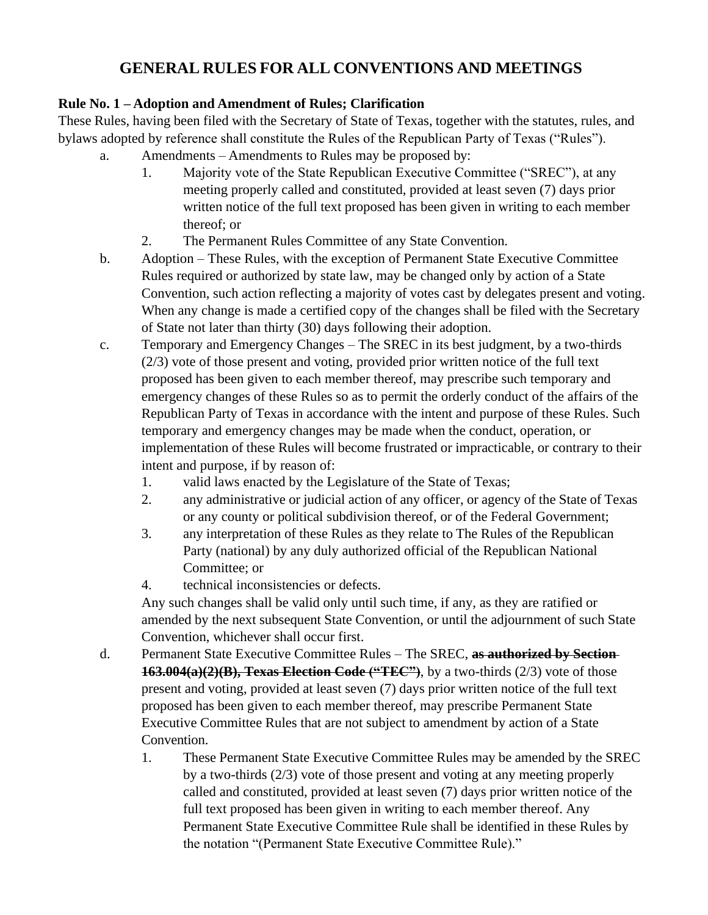# **GENERAL RULES FOR ALL CONVENTIONS AND MEETINGS**

# **Rule No. 1 – Adoption and Amendment of Rules; Clarification**

These Rules, having been filed with the Secretary of State of Texas, together with the statutes, rules, and bylaws adopted by reference shall constitute the Rules of the Republican Party of Texas ("Rules").

- a. Amendments Amendments to Rules may be proposed by:
	- 1. Majority vote of the State Republican Executive Committee ("SREC"), at any meeting properly called and constituted, provided at least seven (7) days prior written notice of the full text proposed has been given in writing to each member thereof; or
	- 2. The Permanent Rules Committee of any State Convention.
- b. Adoption These Rules, with the exception of Permanent State Executive Committee Rules required or authorized by state law, may be changed only by action of a State Convention, such action reflecting a majority of votes cast by delegates present and voting. When any change is made a certified copy of the changes shall be filed with the Secretary of State not later than thirty (30) days following their adoption.
- c. Temporary and Emergency Changes The SREC in its best judgment, by a two-thirds (2/3) vote of those present and voting, provided prior written notice of the full text proposed has been given to each member thereof, may prescribe such temporary and emergency changes of these Rules so as to permit the orderly conduct of the affairs of the Republican Party of Texas in accordance with the intent and purpose of these Rules. Such temporary and emergency changes may be made when the conduct, operation, or implementation of these Rules will become frustrated or impracticable, or contrary to their intent and purpose, if by reason of:
	- 1. valid laws enacted by the Legislature of the State of Texas;
	- 2. any administrative or judicial action of any officer, or agency of the State of Texas or any county or political subdivision thereof, or of the Federal Government;
	- 3. any interpretation of these Rules as they relate to The Rules of the Republican Party (national) by any duly authorized official of the Republican National Committee; or
	- 4. technical inconsistencies or defects.

Any such changes shall be valid only until such time, if any, as they are ratified or amended by the next subsequent State Convention, or until the adjournment of such State Convention, whichever shall occur first.

- d. Permanent State Executive Committee Rules The SREC, **as authorized by Section 163.004(a)(2)(B), Texas Election Code ("TEC")**, by a two-thirds (2/3) vote of those present and voting, provided at least seven (7) days prior written notice of the full text proposed has been given to each member thereof, may prescribe Permanent State Executive Committee Rules that are not subject to amendment by action of a State Convention.
	- 1. These Permanent State Executive Committee Rules may be amended by the SREC by a two-thirds (2/3) vote of those present and voting at any meeting properly called and constituted, provided at least seven (7) days prior written notice of the full text proposed has been given in writing to each member thereof. Any Permanent State Executive Committee Rule shall be identified in these Rules by the notation "(Permanent State Executive Committee Rule)."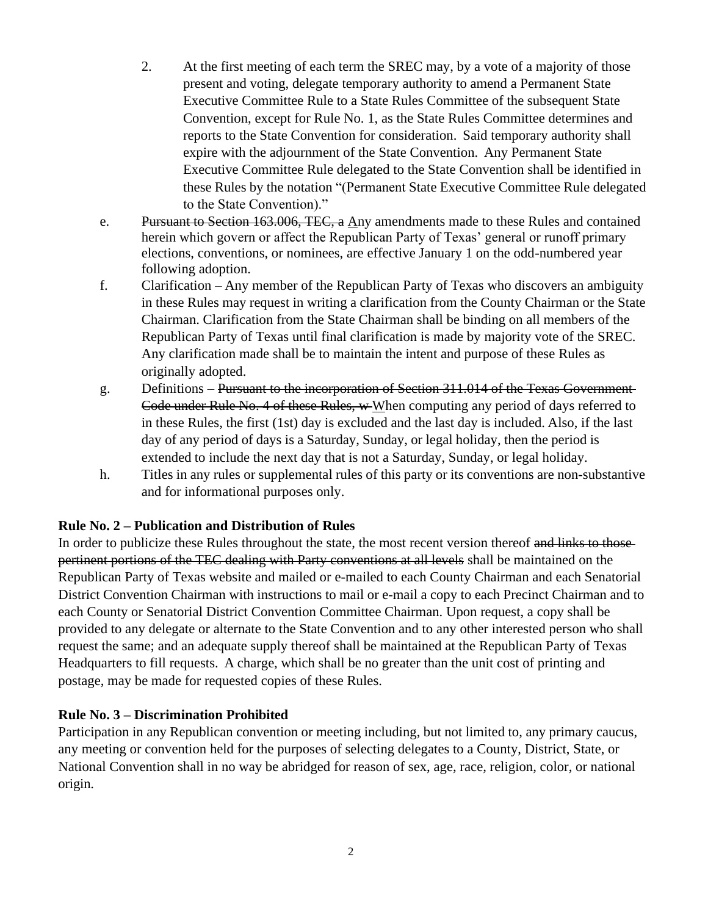- 2. At the first meeting of each term the SREC may, by a vote of a majority of those present and voting, delegate temporary authority to amend a Permanent State Executive Committee Rule to a State Rules Committee of the subsequent State Convention, except for Rule No. 1, as the State Rules Committee determines and reports to the State Convention for consideration. Said temporary authority shall expire with the adjournment of the State Convention. Any Permanent State Executive Committee Rule delegated to the State Convention shall be identified in these Rules by the notation "(Permanent State Executive Committee Rule delegated to the State Convention)."
- e. Pursuant to Section 163.006, TEC, a Any amendments made to these Rules and contained herein which govern or affect the Republican Party of Texas' general or runoff primary elections, conventions, or nominees, are effective January 1 on the odd-numbered year following adoption.
- f. Clarification Any member of the Republican Party of Texas who discovers an ambiguity in these Rules may request in writing a clarification from the County Chairman or the State Chairman. Clarification from the State Chairman shall be binding on all members of the Republican Party of Texas until final clarification is made by majority vote of the SREC. Any clarification made shall be to maintain the intent and purpose of these Rules as originally adopted.
- g. Definitions Pursuant to the incorporation of Section 311.014 of the Texas Government Code under Rule No. 4 of these Rules, w When computing any period of days referred to in these Rules, the first (1st) day is excluded and the last day is included. Also, if the last day of any period of days is a Saturday, Sunday, or legal holiday, then the period is extended to include the next day that is not a Saturday, Sunday, or legal holiday.
- h. Titles in any rules or supplemental rules of this party or its conventions are non-substantive and for informational purposes only.

# **Rule No. 2 – Publication and Distribution of Rules**

In order to publicize these Rules throughout the state, the most recent version thereof and links to thosepertinent portions of the TEC dealing with Party conventions at all levels shall be maintained on the Republican Party of Texas website and mailed or e-mailed to each County Chairman and each Senatorial District Convention Chairman with instructions to mail or e-mail a copy to each Precinct Chairman and to each County or Senatorial District Convention Committee Chairman. Upon request, a copy shall be provided to any delegate or alternate to the State Convention and to any other interested person who shall request the same; and an adequate supply thereof shall be maintained at the Republican Party of Texas Headquarters to fill requests. A charge, which shall be no greater than the unit cost of printing and postage, may be made for requested copies of these Rules.

# **Rule No. 3 – Discrimination Prohibited**

Participation in any Republican convention or meeting including, but not limited to, any primary caucus, any meeting or convention held for the purposes of selecting delegates to a County, District, State, or National Convention shall in no way be abridged for reason of sex, age, race, religion, color, or national origin.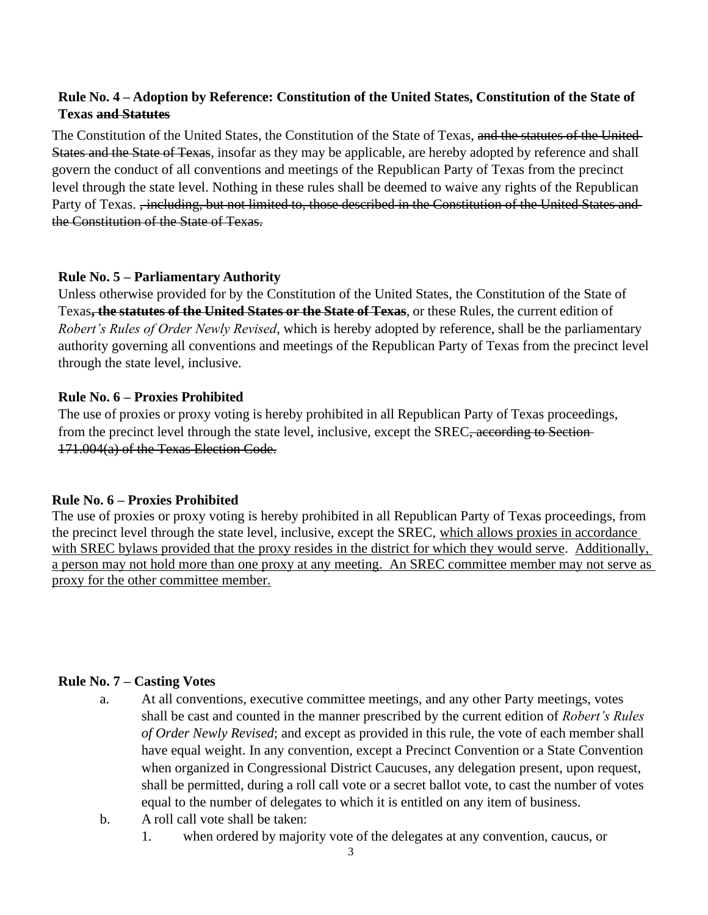# **Rule No. 4 – Adoption by Reference: Constitution of the United States, Constitution of the State of Texas and Statutes**

The Constitution of the United States, the Constitution of the State of Texas, and the statutes of the United-States and the State of Texas, insofar as they may be applicable, are hereby adopted by reference and shall govern the conduct of all conventions and meetings of the Republican Party of Texas from the precinct level through the state level. Nothing in these rules shall be deemed to waive any rights of the Republican Party of Texas. <del>, including, but not limited to, those described in the Constitution of the United States and</del> the Constitution of the State of Texas.

# **Rule No. 5 – Parliamentary Authority**

Unless otherwise provided for by the Constitution of the United States, the Constitution of the State of Texas**, the statutes of the United States or the State of Texas**, or these Rules, the current edition of *Robert's Rules of Order Newly Revised*, which is hereby adopted by reference, shall be the parliamentary authority governing all conventions and meetings of the Republican Party of Texas from the precinct level through the state level, inclusive.

### **Rule No. 6 – Proxies Prohibited**

The use of proxies or proxy voting is hereby prohibited in all Republican Party of Texas proceedings, from the precinct level through the state level, inclusive, except the SREC<del>, according to Section</del> 171.004(a) of the Texas Election Code.

#### **Rule No. 6 – Proxies Prohibited**

The use of proxies or proxy voting is hereby prohibited in all Republican Party of Texas proceedings, from the precinct level through the state level, inclusive, except the SREC, which allows proxies in accordance with SREC bylaws provided that the proxy resides in the district for which they would serve. Additionally, a person may not hold more than one proxy at any meeting. An SREC committee member may not serve as proxy for the other committee member.

#### **Rule No. 7 – Casting Votes**

- a. At all conventions, executive committee meetings, and any other Party meetings, votes shall be cast and counted in the manner prescribed by the current edition of *Robert's Rules of Order Newly Revised*; and except as provided in this rule, the vote of each member shall have equal weight. In any convention, except a Precinct Convention or a State Convention when organized in Congressional District Caucuses, any delegation present, upon request, shall be permitted, during a roll call vote or a secret ballot vote, to cast the number of votes equal to the number of delegates to which it is entitled on any item of business.
- b. A roll call vote shall be taken:
	- 1. when ordered by majority vote of the delegates at any convention, caucus, or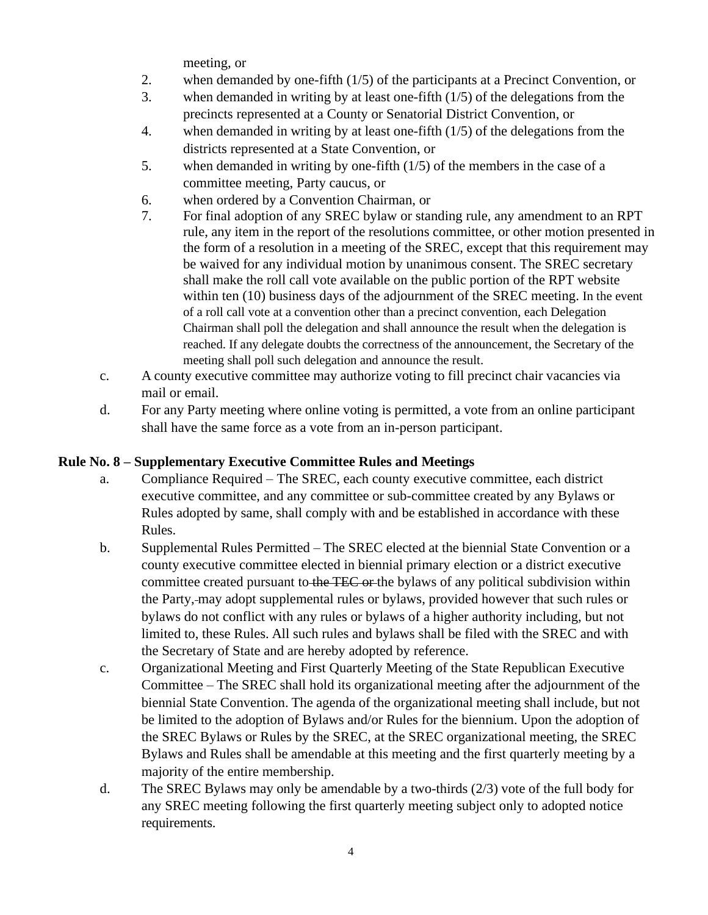meeting, or

- 2. when demanded by one-fifth (1/5) of the participants at a Precinct Convention, or
- 3. when demanded in writing by at least one-fifth (1/5) of the delegations from the precincts represented at a County or Senatorial District Convention, or
- 4. when demanded in writing by at least one-fifth (1/5) of the delegations from the districts represented at a State Convention, or
- 5. when demanded in writing by one-fifth (1/5) of the members in the case of a committee meeting, Party caucus, or
- 6. when ordered by a Convention Chairman, or
- 7. For final adoption of any SREC bylaw or standing rule, any amendment to an RPT rule, any item in the report of the resolutions committee, or other motion presented in the form of a resolution in a meeting of the SREC, except that this requirement may be waived for any individual motion by unanimous consent. The SREC secretary shall make the roll call vote available on the public portion of the RPT website within ten (10) business days of the adjournment of the SREC meeting. In the event of a roll call vote at a convention other than a precinct convention, each Delegation Chairman shall poll the delegation and shall announce the result when the delegation is reached. If any delegate doubts the correctness of the announcement, the Secretary of the meeting shall poll such delegation and announce the result.
- c. A county executive committee may authorize voting to fill precinct chair vacancies via mail or email.
- d. For any Party meeting where online voting is permitted, a vote from an online participant shall have the same force as a vote from an in-person participant.

# **Rule No. 8 – Supplementary Executive Committee Rules and Meetings**

- a. Compliance Required The SREC, each county executive committee, each district executive committee, and any committee or sub-committee created by any Bylaws or Rules adopted by same, shall comply with and be established in accordance with these Rules.
- b. Supplemental Rules Permitted The SREC elected at the biennial State Convention or a county executive committee elected in biennial primary election or a district executive committee created pursuant to the TEC or the bylaws of any political subdivision within the Party, may adopt supplemental rules or bylaws, provided however that such rules or bylaws do not conflict with any rules or bylaws of a higher authority including, but not limited to, these Rules. All such rules and bylaws shall be filed with the SREC and with the Secretary of State and are hereby adopted by reference.
- c. Organizational Meeting and First Quarterly Meeting of the State Republican Executive Committee – The SREC shall hold its organizational meeting after the adjournment of the biennial State Convention. The agenda of the organizational meeting shall include, but not be limited to the adoption of Bylaws and/or Rules for the biennium. Upon the adoption of the SREC Bylaws or Rules by the SREC, at the SREC organizational meeting, the SREC Bylaws and Rules shall be amendable at this meeting and the first quarterly meeting by a majority of the entire membership.
- d. The SREC Bylaws may only be amendable by a two-thirds (2/3) vote of the full body for any SREC meeting following the first quarterly meeting subject only to adopted notice requirements.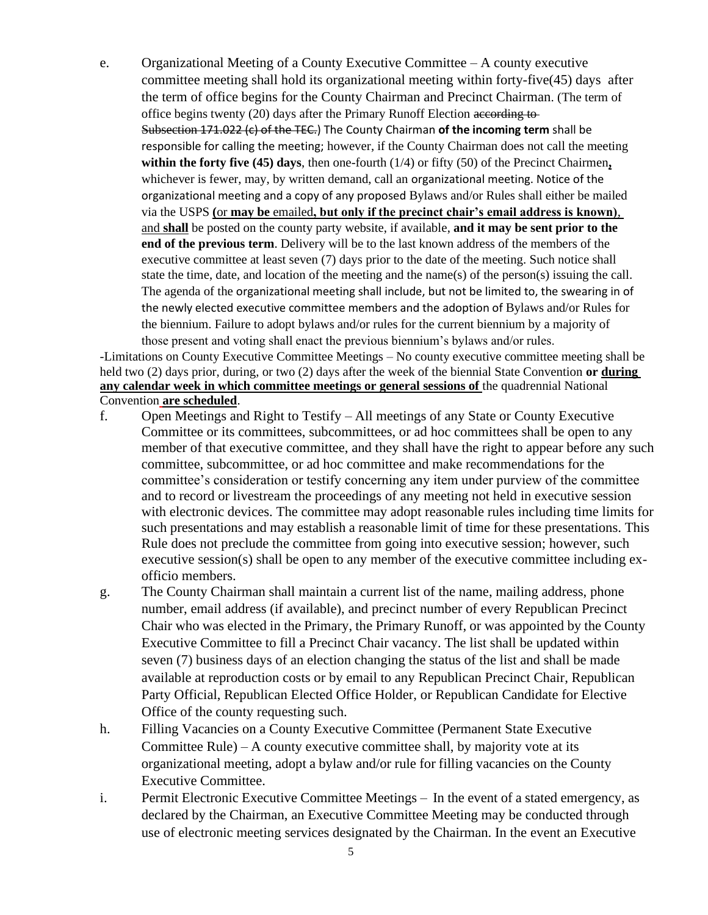e. Organizational Meeting of a County Executive Committee – A county executive committee meeting shall hold its organizational meeting within forty-five(45) days after the term of office begins for the County Chairman and Precinct Chairman. (The term of office begins twenty (20) days after the Primary Runoff Election according to-Subsection 171.022 (c) of the TEC.) The County Chairman **of the incoming term** shall be responsible for calling the meeting; however, if the County Chairman does not call the meeting **within the forty five (45) days**, then one-fourth (1/4) or fifty (50) of the Precinct Chairmen**,** whichever is fewer, may, by written demand, call an organizational meeting. Notice of the organizational meeting and a copy of any proposed Bylaws and/or Rules shall either be mailed via the USPS **(**or **may be** emailed**, but only if the precinct chair's email address is known)**, and **shall** be posted on the county party website, if available, **and it may be sent prior to the end of the previous term**. Delivery will be to the last known address of the members of the executive committee at least seven (7) days prior to the date of the meeting. Such notice shall state the time, date, and location of the meeting and the name(s) of the person(s) issuing the call. The agenda of the organizational meeting shall include, but not be limited to, the swearing in of the newly elected executive committee members and the adoption of Bylaws and/or Rules for the biennium. Failure to adopt bylaws and/or rules for the current biennium by a majority of those present and voting shall enact the previous biennium's bylaws and/or rules.

-Limitations on County Executive Committee Meetings – No county executive committee meeting shall be held two (2) days prior, during, or two (2) days after the week of the biennial State Convention **or during any calendar week in which committee meetings or general sessions of** the quadrennial National Convention **are scheduled**.

- f. Open Meetings and Right to Testify All meetings of any State or County Executive Committee or its committees, subcommittees, or ad hoc committees shall be open to any member of that executive committee, and they shall have the right to appear before any such committee, subcommittee, or ad hoc committee and make recommendations for the committee's consideration or testify concerning any item under purview of the committee and to record or livestream the proceedings of any meeting not held in executive session with electronic devices. The committee may adopt reasonable rules including time limits for such presentations and may establish a reasonable limit of time for these presentations. This Rule does not preclude the committee from going into executive session; however, such executive session(s) shall be open to any member of the executive committee including exofficio members.
- g. The County Chairman shall maintain a current list of the name, mailing address, phone number, email address (if available), and precinct number of every Republican Precinct Chair who was elected in the Primary, the Primary Runoff, or was appointed by the County Executive Committee to fill a Precinct Chair vacancy. The list shall be updated within seven (7) business days of an election changing the status of the list and shall be made available at reproduction costs or by email to any Republican Precinct Chair, Republican Party Official, Republican Elected Office Holder, or Republican Candidate for Elective Office of the county requesting such.
- h. Filling Vacancies on a County Executive Committee (Permanent State Executive Committee Rule) – A county executive committee shall, by majority vote at its organizational meeting, adopt a bylaw and/or rule for filling vacancies on the County Executive Committee.
- i. Permit Electronic Executive Committee Meetings In the event of a stated emergency, as declared by the Chairman, an Executive Committee Meeting may be conducted through use of electronic meeting services designated by the Chairman. In the event an Executive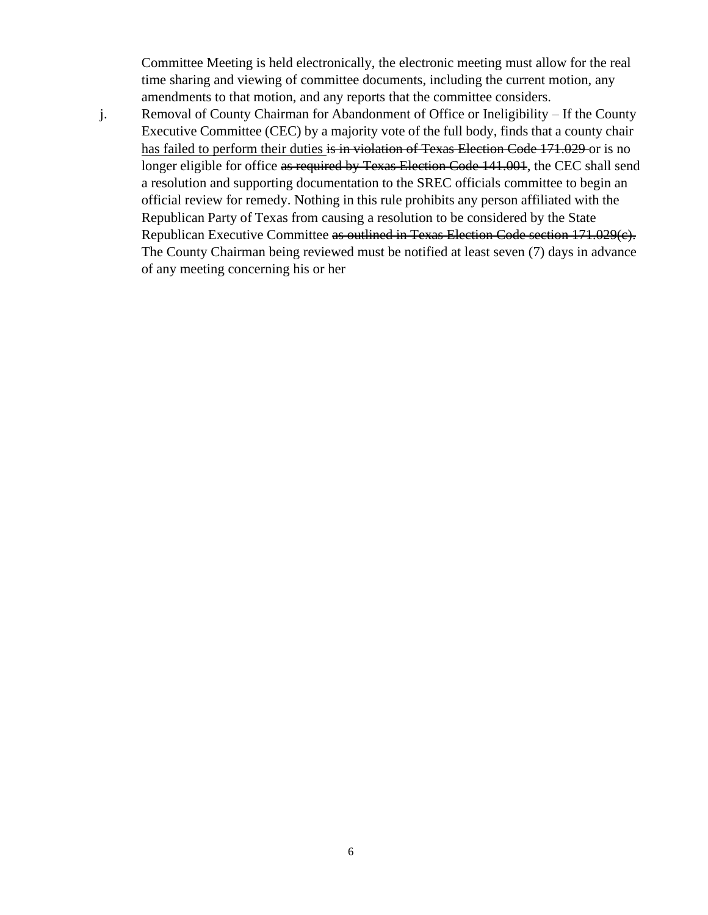Committee Meeting is held electronically, the electronic meeting must allow for the real time sharing and viewing of committee documents, including the current motion, any amendments to that motion, and any reports that the committee considers.

j. Removal of County Chairman for Abandonment of Office or Ineligibility – If the County Executive Committee (CEC) by a majority vote of the full body, finds that a county chair has failed to perform their duties is in violation of Texas Election Code 171.029 or is no longer eligible for office as required by Texas Election Code 141.001, the CEC shall send a resolution and supporting documentation to the SREC officials committee to begin an official review for remedy. Nothing in this rule prohibits any person affiliated with the Republican Party of Texas from causing a resolution to be considered by the State Republican Executive Committee as outlined in Texas Election Code section 171.029(c). The County Chairman being reviewed must be notified at least seven (7) days in advance of any meeting concerning his or her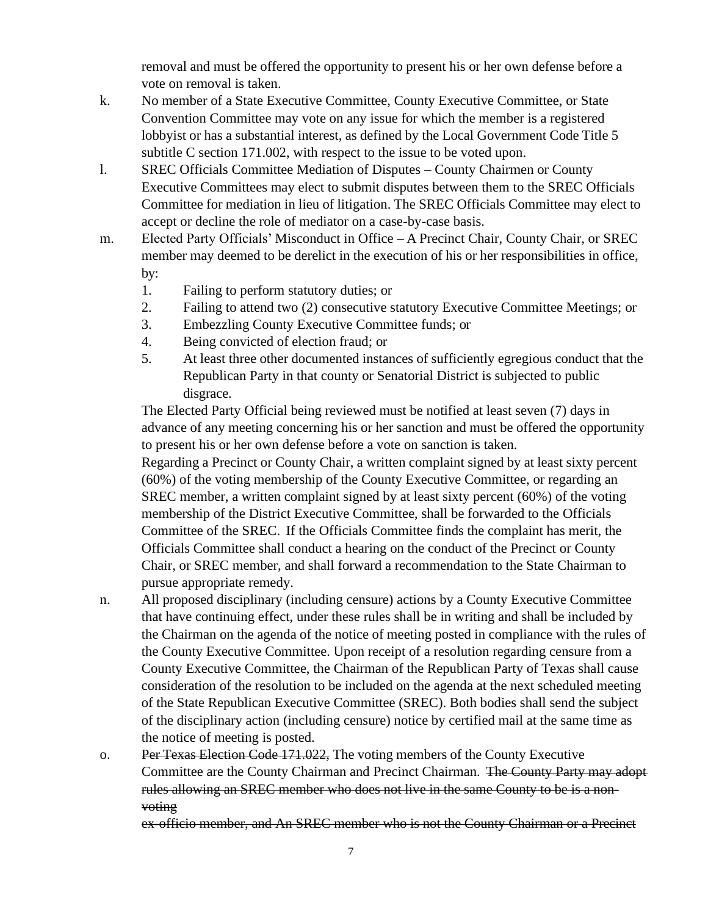removal and must be offered the opportunity to present his or her own defense before a vote on removal is taken.

- k. No member of a State Executive Committee, County Executive Committee, or State Convention Committee may vote on any issue for which the member is a registered lobbyist or has a substantial interest, as defined by the Local Government Code Title 5 subtitle C section 171.002, with respect to the issue to be voted upon.
- l. SREC Officials Committee Mediation of Disputes County Chairmen or County Executive Committees may elect to submit disputes between them to the SREC Officials Committee for mediation in lieu of litigation. The SREC Officials Committee may elect to accept or decline the role of mediator on a case-by-case basis.
- m. Elected Party Officials' Misconduct in Office A Precinct Chair, County Chair, or SREC member may deemed to be derelict in the execution of his or her responsibilities in office, by:
	- 1. Failing to perform statutory duties; or
	- 2. Failing to attend two (2) consecutive statutory Executive Committee Meetings; or
	- 3. Embezzling County Executive Committee funds; or
	- 4. Being convicted of election fraud; or
	- 5. At least three other documented instances of sufficiently egregious conduct that the Republican Party in that county or Senatorial District is subjected to public disgrace.

The Elected Party Official being reviewed must be notified at least seven (7) days in advance of any meeting concerning his or her sanction and must be offered the opportunity to present his or her own defense before a vote on sanction is taken.

Regarding a Precinct or County Chair, a written complaint signed by at least sixty percent (60%) of the voting membership of the County Executive Committee, or regarding an SREC member, a written complaint signed by at least sixty percent (60%) of the voting membership of the District Executive Committee, shall be forwarded to the Officials Committee of the SREC. If the Officials Committee finds the complaint has merit, the Officials Committee shall conduct a hearing on the conduct of the Precinct or County Chair, or SREC member, and shall forward a recommendation to the State Chairman to pursue appropriate remedy.

- n. All proposed disciplinary (including censure) actions by a County Executive Committee that have continuing effect, under these rules shall be in writing and shall be included by the Chairman on the agenda of the notice of meeting posted in compliance with the rules of the County Executive Committee. Upon receipt of a resolution regarding censure from a County Executive Committee, the Chairman of the Republican Party of Texas shall cause consideration of the resolution to be included on the agenda at the next scheduled meeting of the State Republican Executive Committee (SREC). Both bodies shall send the subject of the disciplinary action (including censure) notice by certified mail at the same time as the notice of meeting is posted.
- o. Per Texas Election Code 171.022, The voting members of the County Executive Committee are the County Chairman and Precinct Chairman. The County Party may adopt rules allowing an SREC member who does not live in the same County to be is a nonvoting

ex-officio member, and An SREC member who is not the County Chairman or a Precinct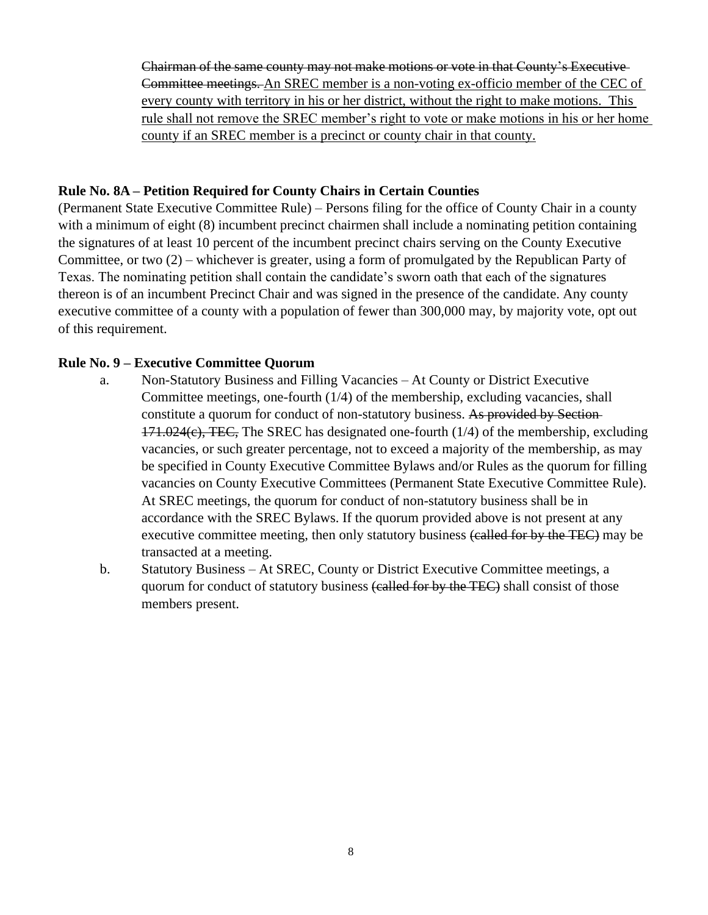Chairman of the same county may not make motions or vote in that County's Executive Committee meetings. An SREC member is a non-voting ex-officio member of the CEC of every county with territory in his or her district, without the right to make motions. This rule shall not remove the SREC member's right to vote or make motions in his or her home county if an SREC member is a precinct or county chair in that county.

# **Rule No. 8A – Petition Required for County Chairs in Certain Counties**

(Permanent State Executive Committee Rule) – Persons filing for the office of County Chair in a county with a minimum of eight (8) incumbent precinct chairmen shall include a nominating petition containing the signatures of at least 10 percent of the incumbent precinct chairs serving on the County Executive Committee, or two (2) – whichever is greater, using a form of promulgated by the Republican Party of Texas. The nominating petition shall contain the candidate's sworn oath that each of the signatures thereon is of an incumbent Precinct Chair and was signed in the presence of the candidate. Any county executive committee of a county with a population of fewer than 300,000 may, by majority vote, opt out of this requirement.

### **Rule No. 9 – Executive Committee Quorum**

- a. Non-Statutory Business and Filling Vacancies At County or District Executive Committee meetings, one-fourth (1/4) of the membership, excluding vacancies, shall constitute a quorum for conduct of non-statutory business. As provided by Section- $171.024(c)$ , TEC, The SREC has designated one-fourth (1/4) of the membership, excluding vacancies, or such greater percentage, not to exceed a majority of the membership, as may be specified in County Executive Committee Bylaws and/or Rules as the quorum for filling vacancies on County Executive Committees (Permanent State Executive Committee Rule). At SREC meetings, the quorum for conduct of non-statutory business shall be in accordance with the SREC Bylaws. If the quorum provided above is not present at any executive committee meeting, then only statutory business (called for by the TEC) may be transacted at a meeting.
- b. Statutory Business At SREC, County or District Executive Committee meetings, a quorum for conduct of statutory business (called for by the TEC) shall consist of those members present.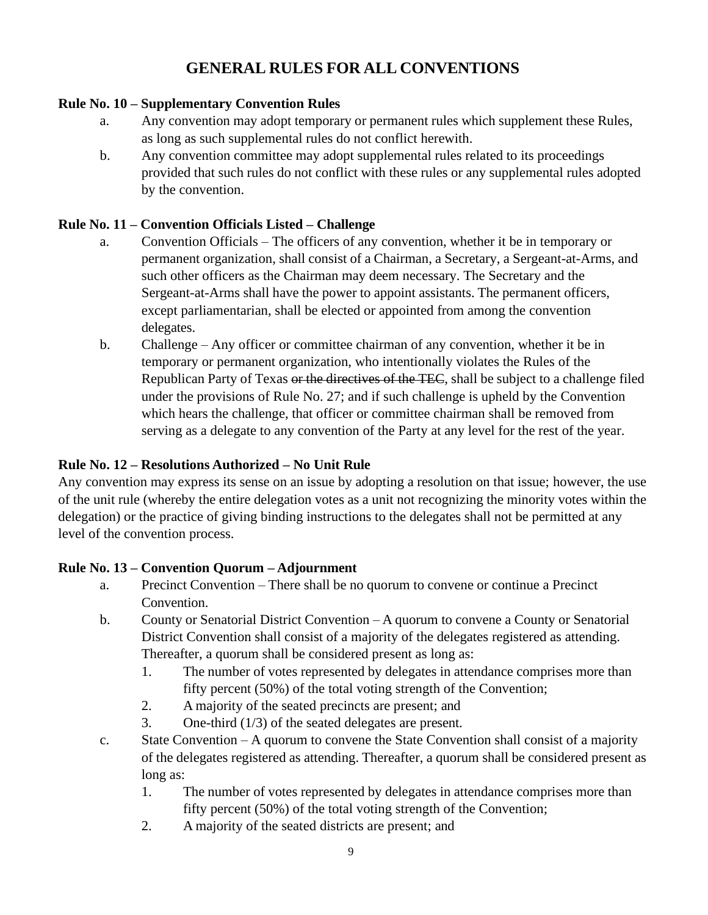# **GENERAL RULES FOR ALL CONVENTIONS**

# **Rule No. 10 – Supplementary Convention Rules**

- a. Any convention may adopt temporary or permanent rules which supplement these Rules, as long as such supplemental rules do not conflict herewith.
- b. Any convention committee may adopt supplemental rules related to its proceedings provided that such rules do not conflict with these rules or any supplemental rules adopted by the convention.

# **Rule No. 11 – Convention Officials Listed – Challenge**

- a. Convention Officials The officers of any convention, whether it be in temporary or permanent organization, shall consist of a Chairman, a Secretary, a Sergeant-at-Arms, and such other officers as the Chairman may deem necessary. The Secretary and the Sergeant-at-Arms shall have the power to appoint assistants. The permanent officers, except parliamentarian, shall be elected or appointed from among the convention delegates.
- b. Challenge Any officer or committee chairman of any convention, whether it be in temporary or permanent organization, who intentionally violates the Rules of the Republican Party of Texas or the directives of the TEC, shall be subject to a challenge filed under the provisions of Rule No. 27; and if such challenge is upheld by the Convention which hears the challenge, that officer or committee chairman shall be removed from serving as a delegate to any convention of the Party at any level for the rest of the year.

# **Rule No. 12 – Resolutions Authorized – No Unit Rule**

Any convention may express its sense on an issue by adopting a resolution on that issue; however, the use of the unit rule (whereby the entire delegation votes as a unit not recognizing the minority votes within the delegation) or the practice of giving binding instructions to the delegates shall not be permitted at any level of the convention process.

# **Rule No. 13 – Convention Quorum – Adjournment**

- a. Precinct Convention There shall be no quorum to convene or continue a Precinct Convention.
- b. County or Senatorial District Convention A quorum to convene a County or Senatorial District Convention shall consist of a majority of the delegates registered as attending. Thereafter, a quorum shall be considered present as long as:
	- 1. The number of votes represented by delegates in attendance comprises more than fifty percent (50%) of the total voting strength of the Convention;
	- 2. A majority of the seated precincts are present; and
	- 3. One-third (1/3) of the seated delegates are present.
- c. State Convention A quorum to convene the State Convention shall consist of a majority of the delegates registered as attending. Thereafter, a quorum shall be considered present as long as:
	- 1. The number of votes represented by delegates in attendance comprises more than fifty percent (50%) of the total voting strength of the Convention;
	- 2. A majority of the seated districts are present; and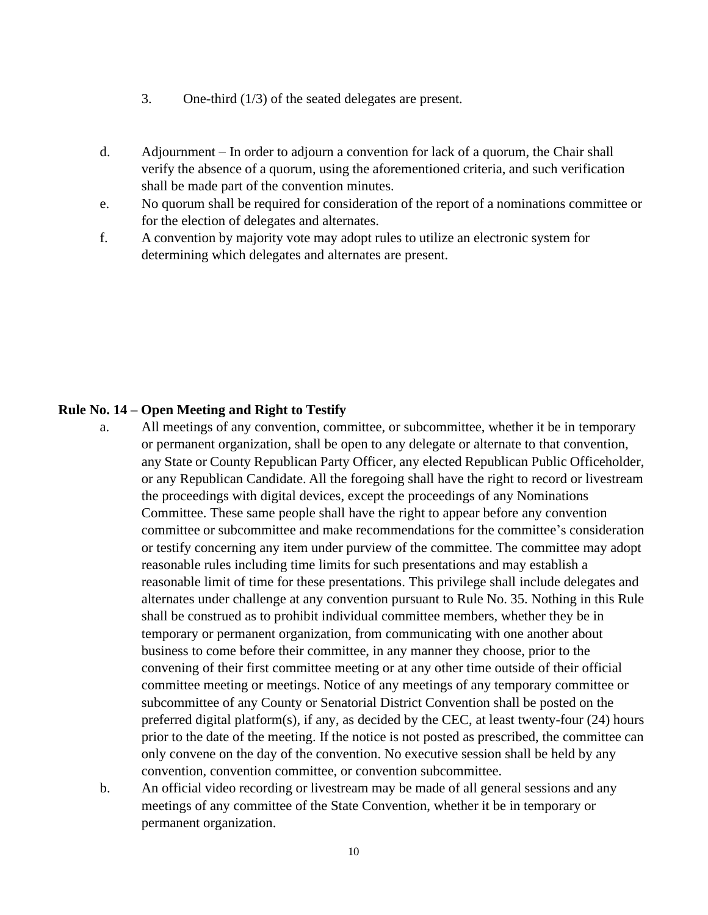- 3. One-third (1/3) of the seated delegates are present.
- d. Adjournment In order to adjourn a convention for lack of a quorum, the Chair shall verify the absence of a quorum, using the aforementioned criteria, and such verification shall be made part of the convention minutes.
- e. No quorum shall be required for consideration of the report of a nominations committee or for the election of delegates and alternates.
- f. A convention by majority vote may adopt rules to utilize an electronic system for determining which delegates and alternates are present.

#### **Rule No. 14 – Open Meeting and Right to Testify**

- a. All meetings of any convention, committee, or subcommittee, whether it be in temporary or permanent organization, shall be open to any delegate or alternate to that convention, any State or County Republican Party Officer, any elected Republican Public Officeholder, or any Republican Candidate. All the foregoing shall have the right to record or livestream the proceedings with digital devices, except the proceedings of any Nominations Committee. These same people shall have the right to appear before any convention committee or subcommittee and make recommendations for the committee's consideration or testify concerning any item under purview of the committee. The committee may adopt reasonable rules including time limits for such presentations and may establish a reasonable limit of time for these presentations. This privilege shall include delegates and alternates under challenge at any convention pursuant to Rule No. 35. Nothing in this Rule shall be construed as to prohibit individual committee members, whether they be in temporary or permanent organization, from communicating with one another about business to come before their committee, in any manner they choose, prior to the convening of their first committee meeting or at any other time outside of their official committee meeting or meetings. Notice of any meetings of any temporary committee or subcommittee of any County or Senatorial District Convention shall be posted on the preferred digital platform(s), if any, as decided by the CEC, at least twenty-four (24) hours prior to the date of the meeting. If the notice is not posted as prescribed, the committee can only convene on the day of the convention. No executive session shall be held by any convention, convention committee, or convention subcommittee.
- b. An official video recording or livestream may be made of all general sessions and any meetings of any committee of the State Convention, whether it be in temporary or permanent organization.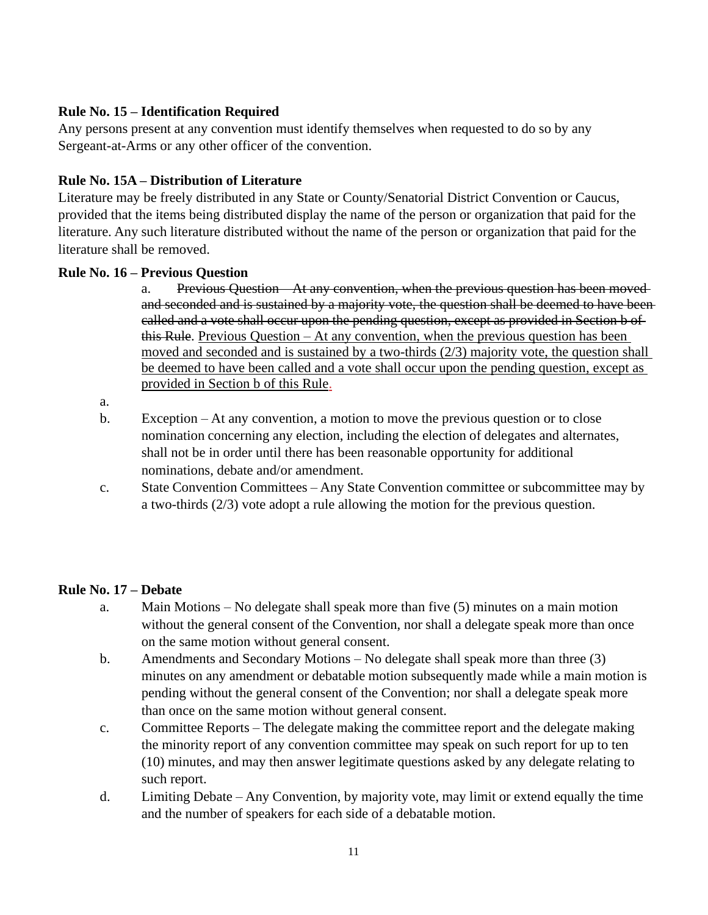# **Rule No. 15 – Identification Required**

Any persons present at any convention must identify themselves when requested to do so by any Sergeant-at-Arms or any other officer of the convention.

# **Rule No. 15A – Distribution of Literature**

Literature may be freely distributed in any State or County/Senatorial District Convention or Caucus, provided that the items being distributed display the name of the person or organization that paid for the literature. Any such literature distributed without the name of the person or organization that paid for the literature shall be removed.

# **Rule No. 16 – Previous Question**

a. Previous Question – At any convention, when the previous question has been moved and seconded and is sustained by a majority vote, the question shall be deemed to have been called and a vote shall occur upon the pending question, except as provided in Section b of this Rule. Previous Question – At any convention, when the previous question has been moved and seconded and is sustained by a two-thirds (2/3) majority vote, the question shall be deemed to have been called and a vote shall occur upon the pending question, except as provided in Section b of this Rule.

a.

- b. Exception At any convention, a motion to move the previous question or to close nomination concerning any election, including the election of delegates and alternates, shall not be in order until there has been reasonable opportunity for additional nominations, debate and/or amendment.
- c. State Convention Committees Any State Convention committee or subcommittee may by a two-thirds (2/3) vote adopt a rule allowing the motion for the previous question.

# **Rule No. 17 – Debate**

- a. Main Motions No delegate shall speak more than five (5) minutes on a main motion without the general consent of the Convention, nor shall a delegate speak more than once on the same motion without general consent.
- b. Amendments and Secondary Motions No delegate shall speak more than three (3) minutes on any amendment or debatable motion subsequently made while a main motion is pending without the general consent of the Convention; nor shall a delegate speak more than once on the same motion without general consent.
- c. Committee Reports The delegate making the committee report and the delegate making the minority report of any convention committee may speak on such report for up to ten (10) minutes, and may then answer legitimate questions asked by any delegate relating to such report.
- d. Limiting Debate Any Convention, by majority vote, may limit or extend equally the time and the number of speakers for each side of a debatable motion.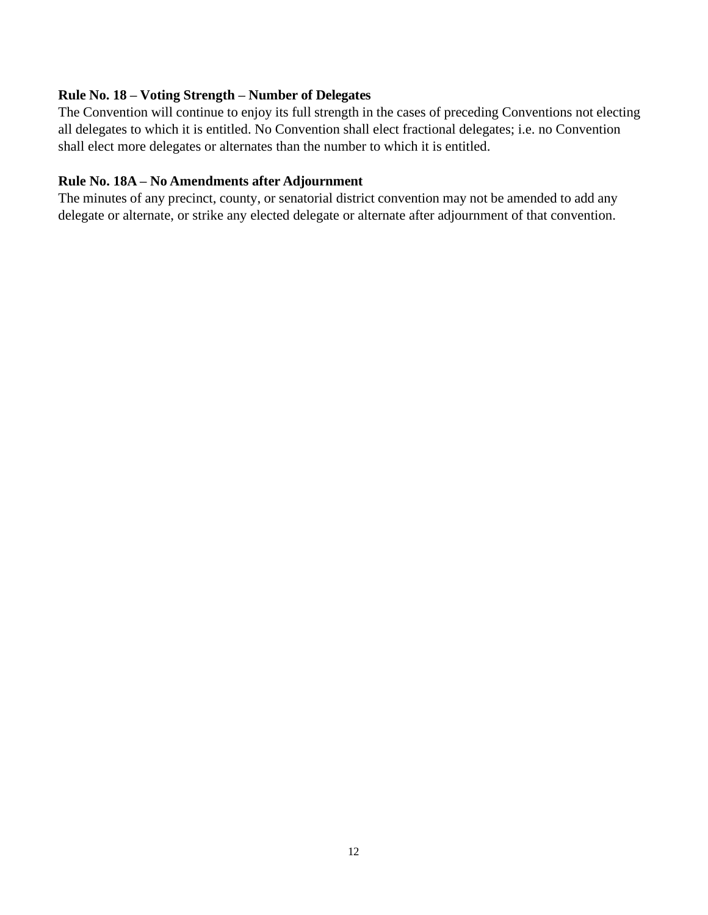# **Rule No. 18 – Voting Strength – Number of Delegates**

The Convention will continue to enjoy its full strength in the cases of preceding Conventions not electing all delegates to which it is entitled. No Convention shall elect fractional delegates; i.e. no Convention shall elect more delegates or alternates than the number to which it is entitled.

# **Rule No. 18A – No Amendments after Adjournment**

The minutes of any precinct, county, or senatorial district convention may not be amended to add any delegate or alternate, or strike any elected delegate or alternate after adjournment of that convention.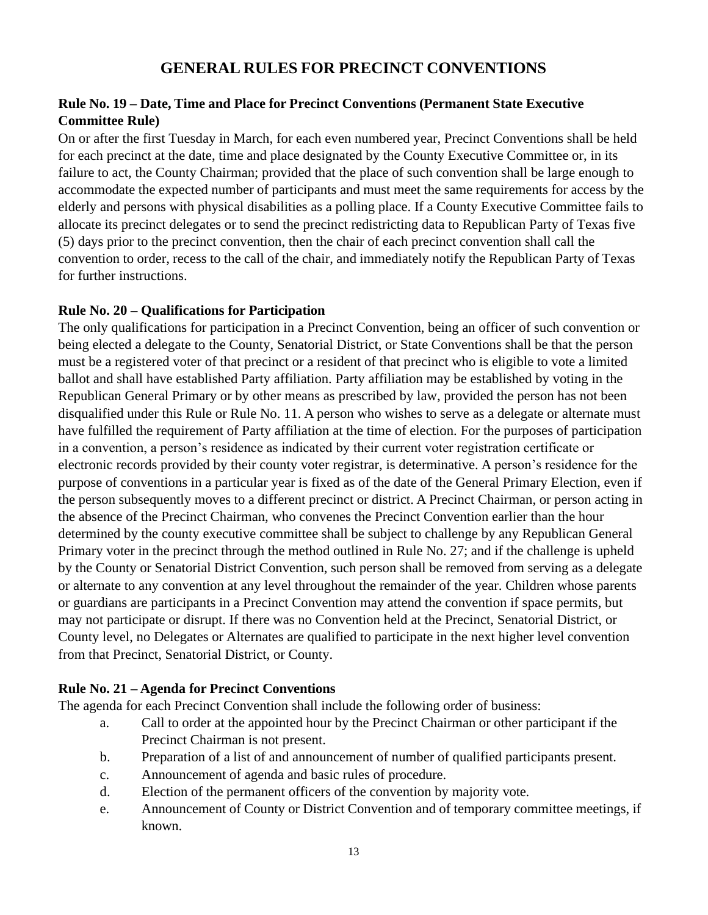# **GENERAL RULES FOR PRECINCT CONVENTIONS**

# **Rule No. 19 – Date, Time and Place for Precinct Conventions (Permanent State Executive Committee Rule)**

On or after the first Tuesday in March, for each even numbered year, Precinct Conventions shall be held for each precinct at the date, time and place designated by the County Executive Committee or, in its failure to act, the County Chairman; provided that the place of such convention shall be large enough to accommodate the expected number of participants and must meet the same requirements for access by the elderly and persons with physical disabilities as a polling place. If a County Executive Committee fails to allocate its precinct delegates or to send the precinct redistricting data to Republican Party of Texas five (5) days prior to the precinct convention, then the chair of each precinct convention shall call the convention to order, recess to the call of the chair, and immediately notify the Republican Party of Texas for further instructions.

### **Rule No. 20 – Qualifications for Participation**

The only qualifications for participation in a Precinct Convention, being an officer of such convention or being elected a delegate to the County, Senatorial District, or State Conventions shall be that the person must be a registered voter of that precinct or a resident of that precinct who is eligible to vote a limited ballot and shall have established Party affiliation. Party affiliation may be established by voting in the Republican General Primary or by other means as prescribed by law, provided the person has not been disqualified under this Rule or Rule No. 11. A person who wishes to serve as a delegate or alternate must have fulfilled the requirement of Party affiliation at the time of election. For the purposes of participation in a convention, a person's residence as indicated by their current voter registration certificate or electronic records provided by their county voter registrar, is determinative. A person's residence for the purpose of conventions in a particular year is fixed as of the date of the General Primary Election, even if the person subsequently moves to a different precinct or district. A Precinct Chairman, or person acting in the absence of the Precinct Chairman, who convenes the Precinct Convention earlier than the hour determined by the county executive committee shall be subject to challenge by any Republican General Primary voter in the precinct through the method outlined in Rule No. 27; and if the challenge is upheld by the County or Senatorial District Convention, such person shall be removed from serving as a delegate or alternate to any convention at any level throughout the remainder of the year. Children whose parents or guardians are participants in a Precinct Convention may attend the convention if space permits, but may not participate or disrupt. If there was no Convention held at the Precinct, Senatorial District, or County level, no Delegates or Alternates are qualified to participate in the next higher level convention from that Precinct, Senatorial District, or County.

#### **Rule No. 21 – Agenda for Precinct Conventions**

The agenda for each Precinct Convention shall include the following order of business:

- a. Call to order at the appointed hour by the Precinct Chairman or other participant if the Precinct Chairman is not present.
- b. Preparation of a list of and announcement of number of qualified participants present.
- c. Announcement of agenda and basic rules of procedure.
- d. Election of the permanent officers of the convention by majority vote.
- e. Announcement of County or District Convention and of temporary committee meetings, if known.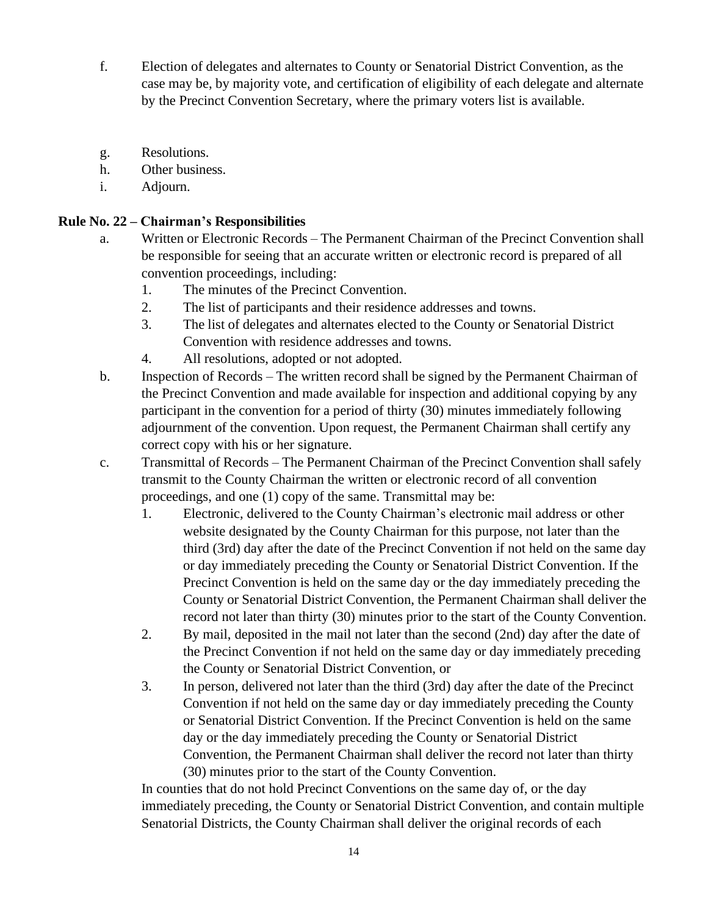- f. Election of delegates and alternates to County or Senatorial District Convention, as the case may be, by majority vote, and certification of eligibility of each delegate and alternate by the Precinct Convention Secretary, where the primary voters list is available.
- g. Resolutions.
- h. Other business.
- i. Adjourn.

### **Rule No. 22 – Chairman's Responsibilities**

- a. Written or Electronic Records The Permanent Chairman of the Precinct Convention shall be responsible for seeing that an accurate written or electronic record is prepared of all convention proceedings, including:
	- 1. The minutes of the Precinct Convention.
	- 2. The list of participants and their residence addresses and towns.
	- 3. The list of delegates and alternates elected to the County or Senatorial District Convention with residence addresses and towns.
	- 4. All resolutions, adopted or not adopted.
- b. Inspection of Records The written record shall be signed by the Permanent Chairman of the Precinct Convention and made available for inspection and additional copying by any participant in the convention for a period of thirty (30) minutes immediately following adjournment of the convention. Upon request, the Permanent Chairman shall certify any correct copy with his or her signature.
- c. Transmittal of Records The Permanent Chairman of the Precinct Convention shall safely transmit to the County Chairman the written or electronic record of all convention proceedings, and one (1) copy of the same. Transmittal may be:
	- 1. Electronic, delivered to the County Chairman's electronic mail address or other website designated by the County Chairman for this purpose, not later than the third (3rd) day after the date of the Precinct Convention if not held on the same day or day immediately preceding the County or Senatorial District Convention. If the Precinct Convention is held on the same day or the day immediately preceding the County or Senatorial District Convention, the Permanent Chairman shall deliver the record not later than thirty (30) minutes prior to the start of the County Convention.
	- 2. By mail, deposited in the mail not later than the second (2nd) day after the date of the Precinct Convention if not held on the same day or day immediately preceding the County or Senatorial District Convention, or
	- 3. In person, delivered not later than the third (3rd) day after the date of the Precinct Convention if not held on the same day or day immediately preceding the County or Senatorial District Convention. If the Precinct Convention is held on the same day or the day immediately preceding the County or Senatorial District Convention, the Permanent Chairman shall deliver the record not later than thirty (30) minutes prior to the start of the County Convention.

In counties that do not hold Precinct Conventions on the same day of, or the day immediately preceding, the County or Senatorial District Convention, and contain multiple Senatorial Districts, the County Chairman shall deliver the original records of each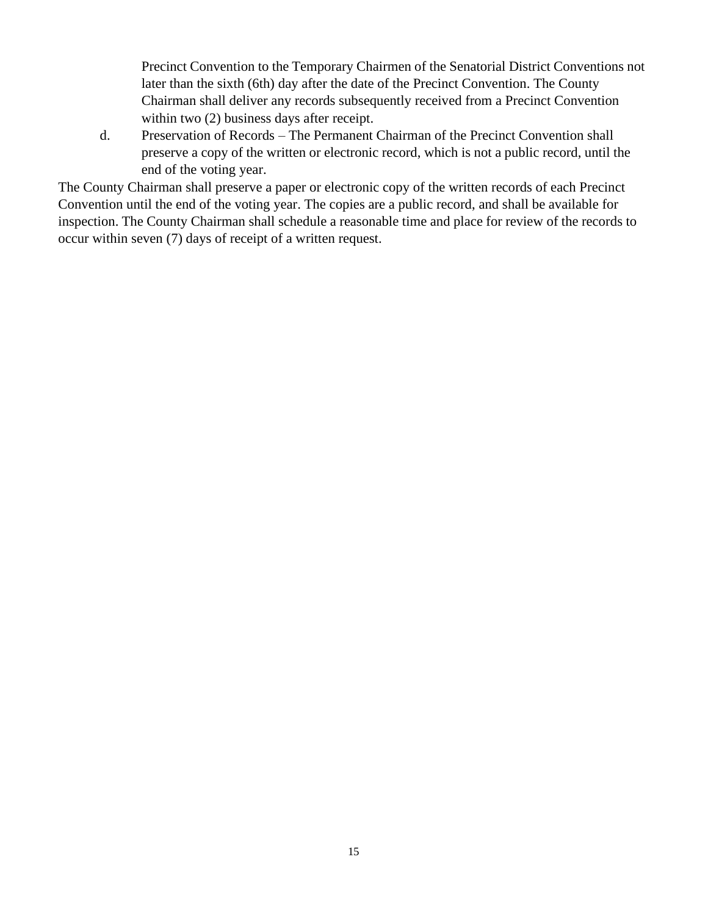Precinct Convention to the Temporary Chairmen of the Senatorial District Conventions not later than the sixth (6th) day after the date of the Precinct Convention. The County Chairman shall deliver any records subsequently received from a Precinct Convention within two  $(2)$  business days after receipt.

d. Preservation of Records – The Permanent Chairman of the Precinct Convention shall preserve a copy of the written or electronic record, which is not a public record, until the end of the voting year.

The County Chairman shall preserve a paper or electronic copy of the written records of each Precinct Convention until the end of the voting year. The copies are a public record, and shall be available for inspection. The County Chairman shall schedule a reasonable time and place for review of the records to occur within seven (7) days of receipt of a written request.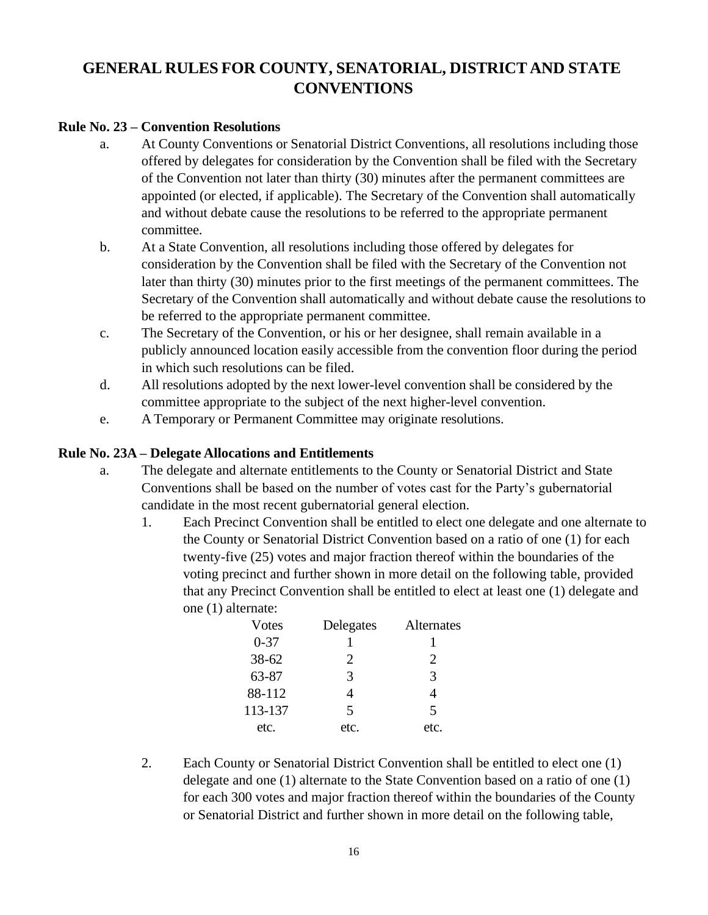# **GENERAL RULES FOR COUNTY, SENATORIAL, DISTRICT AND STATE CONVENTIONS**

# **Rule No. 23 – Convention Resolutions**

- a. At County Conventions or Senatorial District Conventions, all resolutions including those offered by delegates for consideration by the Convention shall be filed with the Secretary of the Convention not later than thirty (30) minutes after the permanent committees are appointed (or elected, if applicable). The Secretary of the Convention shall automatically and without debate cause the resolutions to be referred to the appropriate permanent committee.
- b. At a State Convention, all resolutions including those offered by delegates for consideration by the Convention shall be filed with the Secretary of the Convention not later than thirty (30) minutes prior to the first meetings of the permanent committees. The Secretary of the Convention shall automatically and without debate cause the resolutions to be referred to the appropriate permanent committee.
- c. The Secretary of the Convention, or his or her designee, shall remain available in a publicly announced location easily accessible from the convention floor during the period in which such resolutions can be filed.
- d. All resolutions adopted by the next lower-level convention shall be considered by the committee appropriate to the subject of the next higher-level convention.
- e. A Temporary or Permanent Committee may originate resolutions.

### **Rule No. 23A – Delegate Allocations and Entitlements**

- a. The delegate and alternate entitlements to the County or Senatorial District and State Conventions shall be based on the number of votes cast for the Party's gubernatorial candidate in the most recent gubernatorial general election.
	- 1. Each Precinct Convention shall be entitled to elect one delegate and one alternate to the County or Senatorial District Convention based on a ratio of one (1) for each twenty-five (25) votes and major fraction thereof within the boundaries of the voting precinct and further shown in more detail on the following table, provided that any Precinct Convention shall be entitled to elect at least one (1) delegate and one (1) alternate:

| Votes     | Delegates             | Alternates                  |
|-----------|-----------------------|-----------------------------|
| $0 - 37$  |                       |                             |
| $38 - 62$ | $\mathcal{D}_{\cdot}$ | $\mathcal{D}_{\mathcal{L}}$ |
| 63-87     | 3                     | 3                           |
| 88-112    | 4                     | 4                           |
| 113-137   | 5                     | $\overline{\mathcal{L}}$    |
| etc.      | etc.                  | etc.                        |

2. Each County or Senatorial District Convention shall be entitled to elect one (1) delegate and one (1) alternate to the State Convention based on a ratio of one (1) for each 300 votes and major fraction thereof within the boundaries of the County or Senatorial District and further shown in more detail on the following table,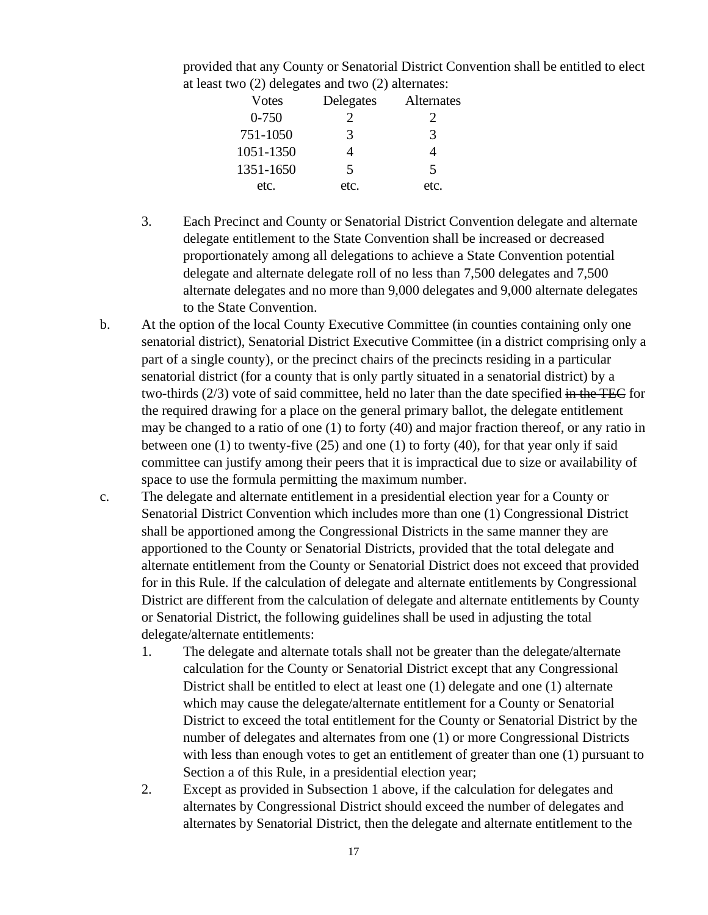provided that any County or Senatorial District Convention shall be entitled to elect at least two (2) delegates and two (2) alternates:

| Votes     | Delegates                | Alternates            |
|-----------|--------------------------|-----------------------|
| $0 - 750$ | 2                        | $\mathcal{D}_{\cdot}$ |
| 751-1050  | 3                        | 3                     |
| 1051-1350 |                          |                       |
| 1351-1650 | $\overline{\mathcal{L}}$ | 5                     |
| etc.      | etc.                     | etc.                  |
|           |                          |                       |

- 3. Each Precinct and County or Senatorial District Convention delegate and alternate delegate entitlement to the State Convention shall be increased or decreased proportionately among all delegations to achieve a State Convention potential delegate and alternate delegate roll of no less than 7,500 delegates and 7,500 alternate delegates and no more than 9,000 delegates and 9,000 alternate delegates to the State Convention.
- b. At the option of the local County Executive Committee (in counties containing only one senatorial district), Senatorial District Executive Committee (in a district comprising only a part of a single county), or the precinct chairs of the precincts residing in a particular senatorial district (for a county that is only partly situated in a senatorial district) by a two-thirds  $(2/3)$  vote of said committee, held no later than the date specified in the TEC for the required drawing for a place on the general primary ballot, the delegate entitlement may be changed to a ratio of one (1) to forty (40) and major fraction thereof, or any ratio in between one (1) to twenty-five (25) and one (1) to forty (40), for that year only if said committee can justify among their peers that it is impractical due to size or availability of space to use the formula permitting the maximum number.
- c. The delegate and alternate entitlement in a presidential election year for a County or Senatorial District Convention which includes more than one (1) Congressional District shall be apportioned among the Congressional Districts in the same manner they are apportioned to the County or Senatorial Districts, provided that the total delegate and alternate entitlement from the County or Senatorial District does not exceed that provided for in this Rule. If the calculation of delegate and alternate entitlements by Congressional District are different from the calculation of delegate and alternate entitlements by County or Senatorial District, the following guidelines shall be used in adjusting the total delegate/alternate entitlements:
	- 1. The delegate and alternate totals shall not be greater than the delegate/alternate calculation for the County or Senatorial District except that any Congressional District shall be entitled to elect at least one (1) delegate and one (1) alternate which may cause the delegate/alternate entitlement for a County or Senatorial District to exceed the total entitlement for the County or Senatorial District by the number of delegates and alternates from one (1) or more Congressional Districts with less than enough votes to get an entitlement of greater than one (1) pursuant to Section a of this Rule, in a presidential election year;
	- 2. Except as provided in Subsection 1 above, if the calculation for delegates and alternates by Congressional District should exceed the number of delegates and alternates by Senatorial District, then the delegate and alternate entitlement to the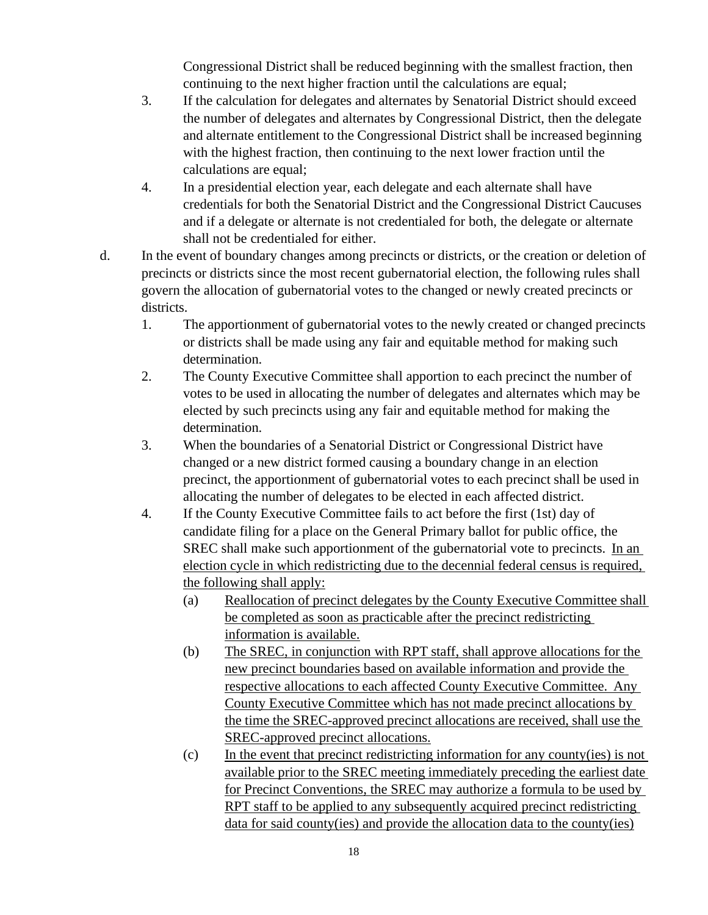Congressional District shall be reduced beginning with the smallest fraction, then continuing to the next higher fraction until the calculations are equal;

- 3. If the calculation for delegates and alternates by Senatorial District should exceed the number of delegates and alternates by Congressional District, then the delegate and alternate entitlement to the Congressional District shall be increased beginning with the highest fraction, then continuing to the next lower fraction until the calculations are equal;
- 4. In a presidential election year, each delegate and each alternate shall have credentials for both the Senatorial District and the Congressional District Caucuses and if a delegate or alternate is not credentialed for both, the delegate or alternate shall not be credentialed for either.
- d. In the event of boundary changes among precincts or districts, or the creation or deletion of precincts or districts since the most recent gubernatorial election, the following rules shall govern the allocation of gubernatorial votes to the changed or newly created precincts or districts.
	- 1. The apportionment of gubernatorial votes to the newly created or changed precincts or districts shall be made using any fair and equitable method for making such determination.
	- 2. The County Executive Committee shall apportion to each precinct the number of votes to be used in allocating the number of delegates and alternates which may be elected by such precincts using any fair and equitable method for making the determination.
	- 3. When the boundaries of a Senatorial District or Congressional District have changed or a new district formed causing a boundary change in an election precinct, the apportionment of gubernatorial votes to each precinct shall be used in allocating the number of delegates to be elected in each affected district.
	- 4. If the County Executive Committee fails to act before the first (1st) day of candidate filing for a place on the General Primary ballot for public office, the SREC shall make such apportionment of the gubernatorial vote to precincts. In an election cycle in which redistricting due to the decennial federal census is required, the following shall apply:
		- (a) Reallocation of precinct delegates by the County Executive Committee shall be completed as soon as practicable after the precinct redistricting information is available.
		- (b) The SREC, in conjunction with RPT staff, shall approve allocations for the new precinct boundaries based on available information and provide the respective allocations to each affected County Executive Committee. Any County Executive Committee which has not made precinct allocations by the time the SREC-approved precinct allocations are received, shall use the SREC-approved precinct allocations.
		- (c) In the event that precinct redistricting information for any county(ies) is not available prior to the SREC meeting immediately preceding the earliest date for Precinct Conventions, the SREC may authorize a formula to be used by RPT staff to be applied to any subsequently acquired precinct redistricting data for said county(ies) and provide the allocation data to the county(ies)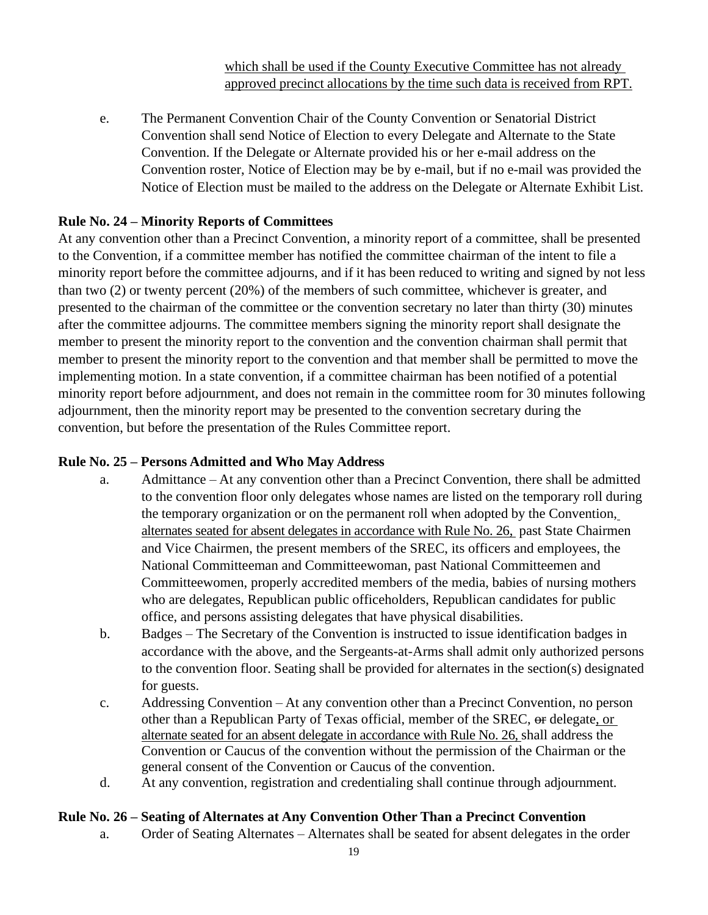which shall be used if the County Executive Committee has not already approved precinct allocations by the time such data is received from RPT.

e. The Permanent Convention Chair of the County Convention or Senatorial District Convention shall send Notice of Election to every Delegate and Alternate to the State Convention. If the Delegate or Alternate provided his or her e-mail address on the Convention roster, Notice of Election may be by e-mail, but if no e-mail was provided the Notice of Election must be mailed to the address on the Delegate or Alternate Exhibit List.

# **Rule No. 24 – Minority Reports of Committees**

At any convention other than a Precinct Convention, a minority report of a committee, shall be presented to the Convention, if a committee member has notified the committee chairman of the intent to file a minority report before the committee adjourns, and if it has been reduced to writing and signed by not less than two (2) or twenty percent (20%) of the members of such committee, whichever is greater, and presented to the chairman of the committee or the convention secretary no later than thirty (30) minutes after the committee adjourns. The committee members signing the minority report shall designate the member to present the minority report to the convention and the convention chairman shall permit that member to present the minority report to the convention and that member shall be permitted to move the implementing motion. In a state convention, if a committee chairman has been notified of a potential minority report before adjournment, and does not remain in the committee room for 30 minutes following adjournment, then the minority report may be presented to the convention secretary during the convention, but before the presentation of the Rules Committee report.

#### **Rule No. 25 – Persons Admitted and Who May Address**

- a. Admittance At any convention other than a Precinct Convention, there shall be admitted to the convention floor only delegates whose names are listed on the temporary roll during the temporary organization or on the permanent roll when adopted by the Convention, alternates seated for absent delegates in accordance with Rule No. 26, past State Chairmen and Vice Chairmen, the present members of the SREC, its officers and employees, the National Committeeman and Committeewoman, past National Committeemen and Committeewomen, properly accredited members of the media, babies of nursing mothers who are delegates, Republican public officeholders, Republican candidates for public office, and persons assisting delegates that have physical disabilities.
- b. Badges The Secretary of the Convention is instructed to issue identification badges in accordance with the above, and the Sergeants-at-Arms shall admit only authorized persons to the convention floor. Seating shall be provided for alternates in the section(s) designated for guests.
- c. Addressing Convention At any convention other than a Precinct Convention, no person other than a Republican Party of Texas official, member of the SREC, or delegate, or alternate seated for an absent delegate in accordance with Rule No. 26, shall address the Convention or Caucus of the convention without the permission of the Chairman or the general consent of the Convention or Caucus of the convention.
- d. At any convention, registration and credentialing shall continue through adjournment.

#### **Rule No. 26 – Seating of Alternates at Any Convention Other Than a Precinct Convention**

a. Order of Seating Alternates – Alternates shall be seated for absent delegates in the order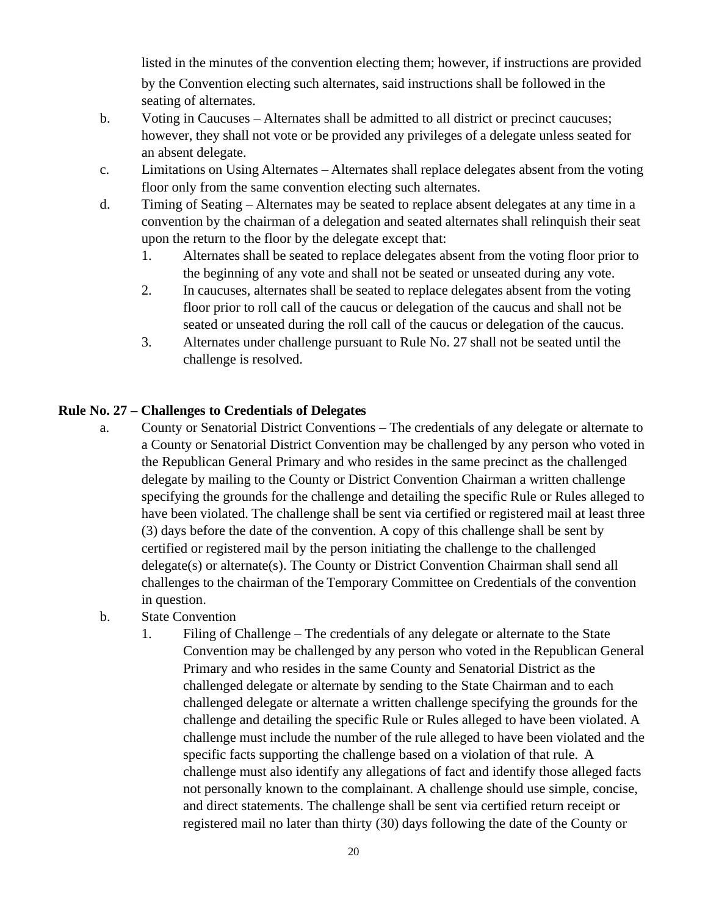listed in the minutes of the convention electing them; however, if instructions are provided by the Convention electing such alternates, said instructions shall be followed in the seating of alternates.

- b. Voting in Caucuses Alternates shall be admitted to all district or precinct caucuses; however, they shall not vote or be provided any privileges of a delegate unless seated for an absent delegate.
- c. Limitations on Using Alternates Alternates shall replace delegates absent from the voting floor only from the same convention electing such alternates.
- d. Timing of Seating Alternates may be seated to replace absent delegates at any time in a convention by the chairman of a delegation and seated alternates shall relinquish their seat upon the return to the floor by the delegate except that:
	- 1. Alternates shall be seated to replace delegates absent from the voting floor prior to the beginning of any vote and shall not be seated or unseated during any vote.
	- 2. In caucuses, alternates shall be seated to replace delegates absent from the voting floor prior to roll call of the caucus or delegation of the caucus and shall not be seated or unseated during the roll call of the caucus or delegation of the caucus.
	- 3. Alternates under challenge pursuant to Rule No. 27 shall not be seated until the challenge is resolved.

# **Rule No. 27 – Challenges to Credentials of Delegates**

a. County or Senatorial District Conventions – The credentials of any delegate or alternate to a County or Senatorial District Convention may be challenged by any person who voted in the Republican General Primary and who resides in the same precinct as the challenged delegate by mailing to the County or District Convention Chairman a written challenge specifying the grounds for the challenge and detailing the specific Rule or Rules alleged to have been violated. The challenge shall be sent via certified or registered mail at least three (3) days before the date of the convention. A copy of this challenge shall be sent by certified or registered mail by the person initiating the challenge to the challenged delegate(s) or alternate(s). The County or District Convention Chairman shall send all challenges to the chairman of the Temporary Committee on Credentials of the convention in question.

# b. State Convention

1. Filing of Challenge – The credentials of any delegate or alternate to the State Convention may be challenged by any person who voted in the Republican General Primary and who resides in the same County and Senatorial District as the challenged delegate or alternate by sending to the State Chairman and to each challenged delegate or alternate a written challenge specifying the grounds for the challenge and detailing the specific Rule or Rules alleged to have been violated. A challenge must include the number of the rule alleged to have been violated and the specific facts supporting the challenge based on a violation of that rule. A challenge must also identify any allegations of fact and identify those alleged facts not personally known to the complainant. A challenge should use simple, concise, and direct statements. The challenge shall be sent via certified return receipt or registered mail no later than thirty (30) days following the date of the County or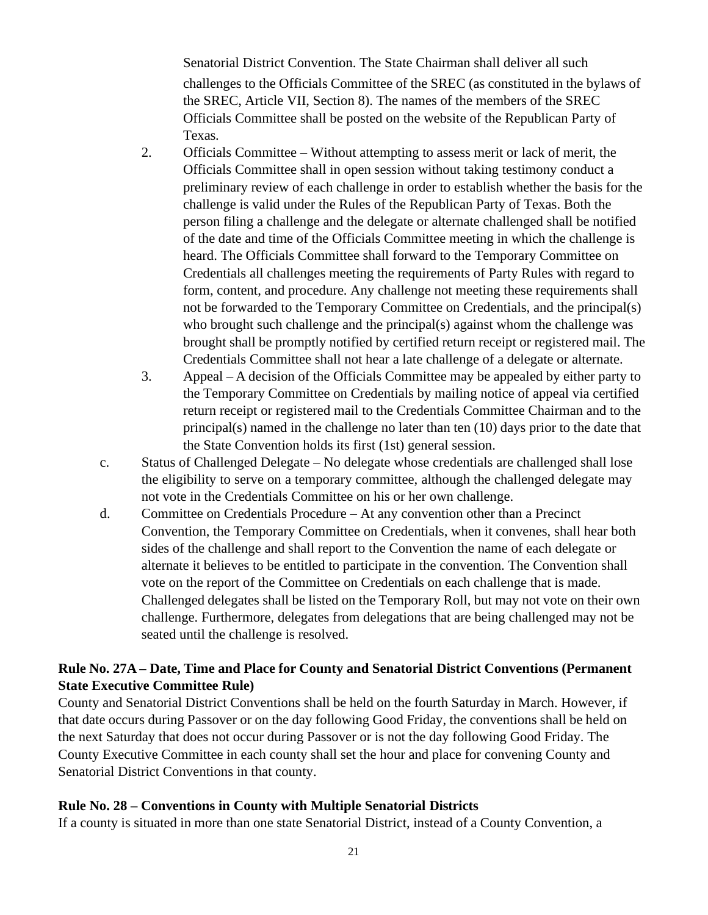Senatorial District Convention. The State Chairman shall deliver all such challenges to the Officials Committee of the SREC (as constituted in the bylaws of the SREC, Article VII, Section 8). The names of the members of the SREC Officials Committee shall be posted on the website of the Republican Party of Texas.

- 2. Officials Committee Without attempting to assess merit or lack of merit, the Officials Committee shall in open session without taking testimony conduct a preliminary review of each challenge in order to establish whether the basis for the challenge is valid under the Rules of the Republican Party of Texas. Both the person filing a challenge and the delegate or alternate challenged shall be notified of the date and time of the Officials Committee meeting in which the challenge is heard. The Officials Committee shall forward to the Temporary Committee on Credentials all challenges meeting the requirements of Party Rules with regard to form, content, and procedure. Any challenge not meeting these requirements shall not be forwarded to the Temporary Committee on Credentials, and the principal(s) who brought such challenge and the principal(s) against whom the challenge was brought shall be promptly notified by certified return receipt or registered mail. The Credentials Committee shall not hear a late challenge of a delegate or alternate.
- 3. Appeal A decision of the Officials Committee may be appealed by either party to the Temporary Committee on Credentials by mailing notice of appeal via certified return receipt or registered mail to the Credentials Committee Chairman and to the principal(s) named in the challenge no later than ten (10) days prior to the date that the State Convention holds its first (1st) general session.
- c. Status of Challenged Delegate No delegate whose credentials are challenged shall lose the eligibility to serve on a temporary committee, although the challenged delegate may not vote in the Credentials Committee on his or her own challenge.
- d. Committee on Credentials Procedure At any convention other than a Precinct Convention, the Temporary Committee on Credentials, when it convenes, shall hear both sides of the challenge and shall report to the Convention the name of each delegate or alternate it believes to be entitled to participate in the convention. The Convention shall vote on the report of the Committee on Credentials on each challenge that is made. Challenged delegates shall be listed on the Temporary Roll, but may not vote on their own challenge. Furthermore, delegates from delegations that are being challenged may not be seated until the challenge is resolved.

# **Rule No. 27A – Date, Time and Place for County and Senatorial District Conventions (Permanent State Executive Committee Rule)**

County and Senatorial District Conventions shall be held on the fourth Saturday in March. However, if that date occurs during Passover or on the day following Good Friday, the conventions shall be held on the next Saturday that does not occur during Passover or is not the day following Good Friday. The County Executive Committee in each county shall set the hour and place for convening County and Senatorial District Conventions in that county.

# **Rule No. 28 – Conventions in County with Multiple Senatorial Districts**

If a county is situated in more than one state Senatorial District, instead of a County Convention, a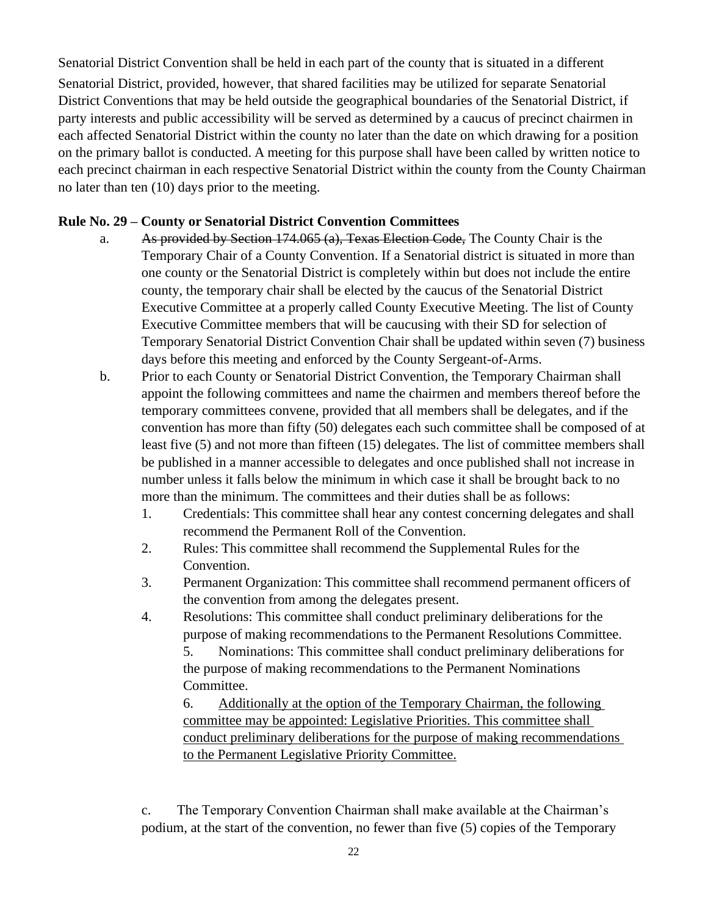Senatorial District Convention shall be held in each part of the county that is situated in a different Senatorial District, provided, however, that shared facilities may be utilized for separate Senatorial District Conventions that may be held outside the geographical boundaries of the Senatorial District, if party interests and public accessibility will be served as determined by a caucus of precinct chairmen in each affected Senatorial District within the county no later than the date on which drawing for a position on the primary ballot is conducted. A meeting for this purpose shall have been called by written notice to each precinct chairman in each respective Senatorial District within the county from the County Chairman no later than ten (10) days prior to the meeting.

#### **Rule No. 29 – County or Senatorial District Convention Committees**

- a. As provided by Section 174.065 (a), Texas Election Code, The County Chair is the Temporary Chair of a County Convention. If a Senatorial district is situated in more than one county or the Senatorial District is completely within but does not include the entire county, the temporary chair shall be elected by the caucus of the Senatorial District Executive Committee at a properly called County Executive Meeting. The list of County Executive Committee members that will be caucusing with their SD for selection of Temporary Senatorial District Convention Chair shall be updated within seven (7) business days before this meeting and enforced by the County Sergeant-of-Arms.
- b. Prior to each County or Senatorial District Convention, the Temporary Chairman shall appoint the following committees and name the chairmen and members thereof before the temporary committees convene, provided that all members shall be delegates, and if the convention has more than fifty (50) delegates each such committee shall be composed of at least five (5) and not more than fifteen (15) delegates. The list of committee members shall be published in a manner accessible to delegates and once published shall not increase in number unless it falls below the minimum in which case it shall be brought back to no more than the minimum. The committees and their duties shall be as follows:
	- 1. Credentials: This committee shall hear any contest concerning delegates and shall recommend the Permanent Roll of the Convention.
	- 2. Rules: This committee shall recommend the Supplemental Rules for the Convention.
	- 3. Permanent Organization: This committee shall recommend permanent officers of the convention from among the delegates present.
	- 4. Resolutions: This committee shall conduct preliminary deliberations for the purpose of making recommendations to the Permanent Resolutions Committee.

5. Nominations: This committee shall conduct preliminary deliberations for the purpose of making recommendations to the Permanent Nominations Committee.

6. Additionally at the option of the Temporary Chairman, the following committee may be appointed: Legislative Priorities. This committee shall conduct preliminary deliberations for the purpose of making recommendations to the Permanent Legislative Priority Committee.

c. The Temporary Convention Chairman shall make available at the Chairman's podium, at the start of the convention, no fewer than five (5) copies of the Temporary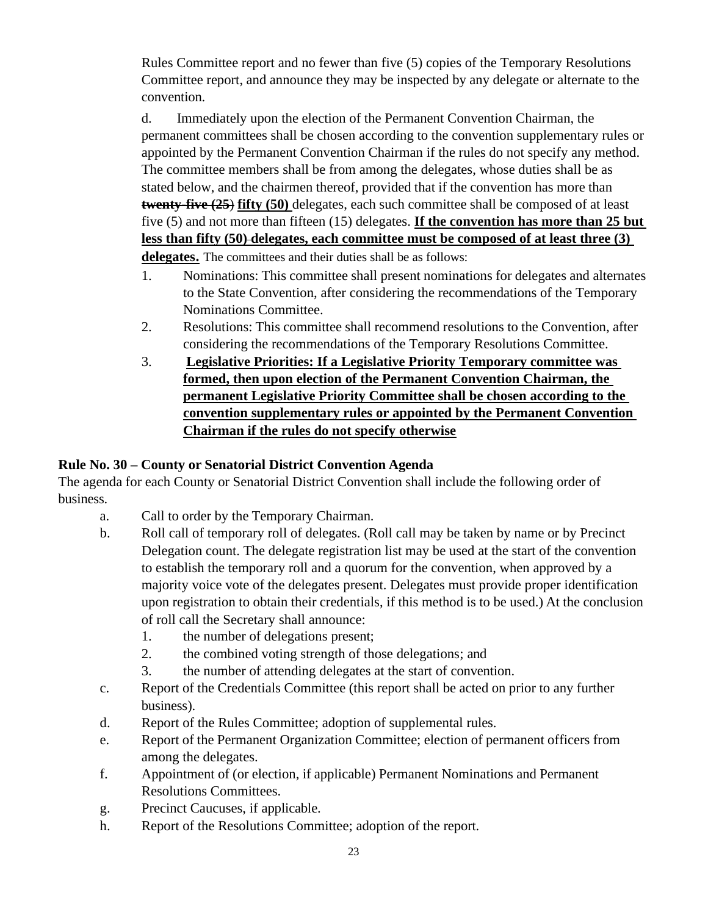Rules Committee report and no fewer than five (5) copies of the Temporary Resolutions Committee report, and announce they may be inspected by any delegate or alternate to the convention.

d. Immediately upon the election of the Permanent Convention Chairman, the permanent committees shall be chosen according to the convention supplementary rules or appointed by the Permanent Convention Chairman if the rules do not specify any method. The committee members shall be from among the delegates, whose duties shall be as stated below, and the chairmen thereof, provided that if the convention has more than **twenty-five (25**) **fifty (50)** delegates, each such committee shall be composed of at least five (5) and not more than fifteen (15) delegates. **If the convention has more than 25 but less than fifty (50) delegates, each committee must be composed of at least three (3) delegates.** The committees and their duties shall be as follows:

- 1. Nominations: This committee shall present nominations for delegates and alternates to the State Convention, after considering the recommendations of the Temporary Nominations Committee.
- 2. Resolutions: This committee shall recommend resolutions to the Convention, after considering the recommendations of the Temporary Resolutions Committee.
- 3. **Legislative Priorities: If a Legislative Priority Temporary committee was formed, then upon election of the Permanent Convention Chairman, the permanent Legislative Priority Committee shall be chosen according to the convention supplementary rules or appointed by the Permanent Convention Chairman if the rules do not specify otherwise**

# **Rule No. 30 – County or Senatorial District Convention Agenda**

The agenda for each County or Senatorial District Convention shall include the following order of business.

- a. Call to order by the Temporary Chairman.
- b. Roll call of temporary roll of delegates. (Roll call may be taken by name or by Precinct Delegation count. The delegate registration list may be used at the start of the convention to establish the temporary roll and a quorum for the convention, when approved by a majority voice vote of the delegates present. Delegates must provide proper identification upon registration to obtain their credentials, if this method is to be used.) At the conclusion of roll call the Secretary shall announce:
	- 1. the number of delegations present;
	- 2. the combined voting strength of those delegations; and
	- 3. the number of attending delegates at the start of convention.
- c. Report of the Credentials Committee (this report shall be acted on prior to any further business).
- d. Report of the Rules Committee; adoption of supplemental rules.
- e. Report of the Permanent Organization Committee; election of permanent officers from among the delegates.
- f. Appointment of (or election, if applicable) Permanent Nominations and Permanent Resolutions Committees.
- g. Precinct Caucuses, if applicable.
- h. Report of the Resolutions Committee; adoption of the report.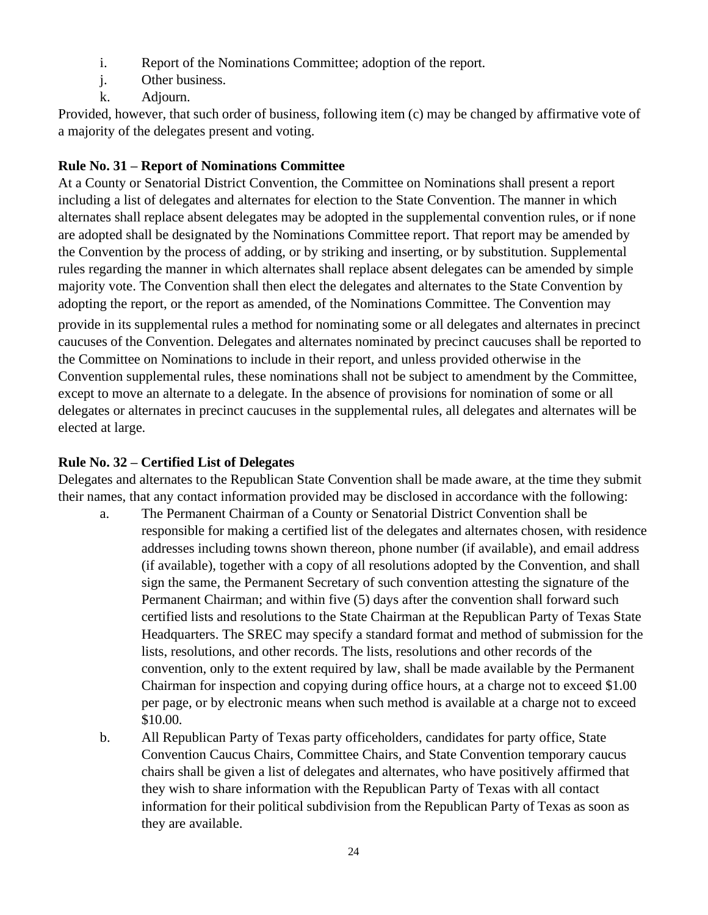- i. Report of the Nominations Committee; adoption of the report.
- j. Other business.
- k. Adjourn.

Provided, however, that such order of business, following item (c) may be changed by affirmative vote of a majority of the delegates present and voting.

# **Rule No. 31 – Report of Nominations Committee**

At a County or Senatorial District Convention, the Committee on Nominations shall present a report including a list of delegates and alternates for election to the State Convention. The manner in which alternates shall replace absent delegates may be adopted in the supplemental convention rules, or if none are adopted shall be designated by the Nominations Committee report. That report may be amended by the Convention by the process of adding, or by striking and inserting, or by substitution. Supplemental rules regarding the manner in which alternates shall replace absent delegates can be amended by simple majority vote. The Convention shall then elect the delegates and alternates to the State Convention by adopting the report, or the report as amended, of the Nominations Committee. The Convention may provide in its supplemental rules a method for nominating some or all delegates and alternates in precinct caucuses of the Convention. Delegates and alternates nominated by precinct caucuses shall be reported to the Committee on Nominations to include in their report, and unless provided otherwise in the Convention supplemental rules, these nominations shall not be subject to amendment by the Committee, except to move an alternate to a delegate. In the absence of provisions for nomination of some or all delegates or alternates in precinct caucuses in the supplemental rules, all delegates and alternates will be elected at large.

# **Rule No. 32 – Certified List of Delegates**

Delegates and alternates to the Republican State Convention shall be made aware, at the time they submit their names, that any contact information provided may be disclosed in accordance with the following:

- a. The Permanent Chairman of a County or Senatorial District Convention shall be responsible for making a certified list of the delegates and alternates chosen, with residence addresses including towns shown thereon, phone number (if available), and email address (if available), together with a copy of all resolutions adopted by the Convention, and shall sign the same, the Permanent Secretary of such convention attesting the signature of the Permanent Chairman; and within five (5) days after the convention shall forward such certified lists and resolutions to the State Chairman at the Republican Party of Texas State Headquarters. The SREC may specify a standard format and method of submission for the lists, resolutions, and other records. The lists, resolutions and other records of the convention, only to the extent required by law, shall be made available by the Permanent Chairman for inspection and copying during office hours, at a charge not to exceed \$1.00 per page, or by electronic means when such method is available at a charge not to exceed \$10.00.
- b. All Republican Party of Texas party officeholders, candidates for party office, State Convention Caucus Chairs, Committee Chairs, and State Convention temporary caucus chairs shall be given a list of delegates and alternates, who have positively affirmed that they wish to share information with the Republican Party of Texas with all contact information for their political subdivision from the Republican Party of Texas as soon as they are available.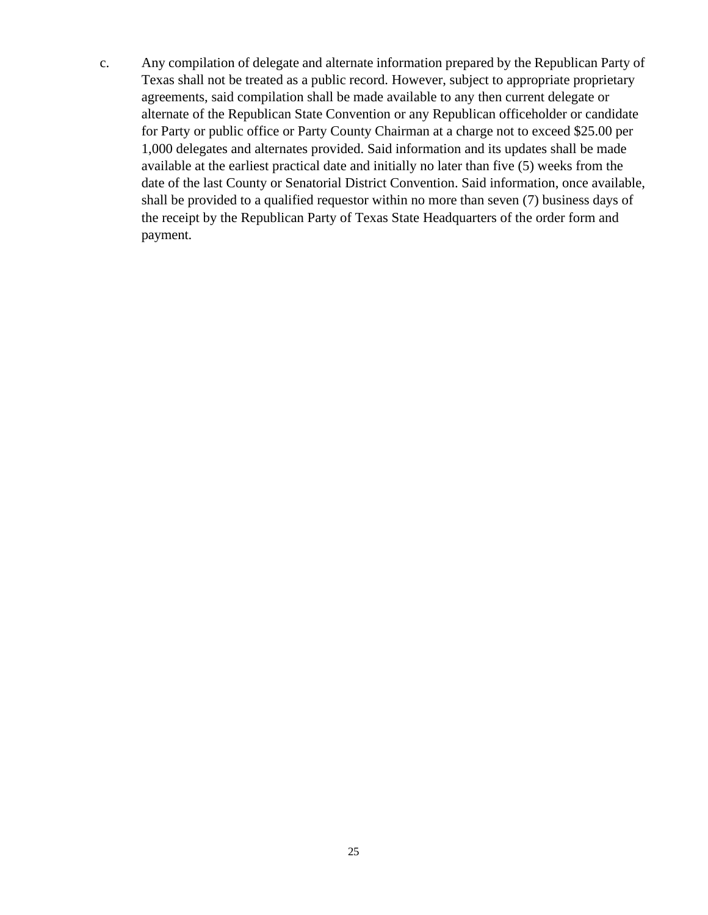c. Any compilation of delegate and alternate information prepared by the Republican Party of Texas shall not be treated as a public record. However, subject to appropriate proprietary agreements, said compilation shall be made available to any then current delegate or alternate of the Republican State Convention or any Republican officeholder or candidate for Party or public office or Party County Chairman at a charge not to exceed \$25.00 per 1,000 delegates and alternates provided. Said information and its updates shall be made available at the earliest practical date and initially no later than five (5) weeks from the date of the last County or Senatorial District Convention. Said information, once available, shall be provided to a qualified requestor within no more than seven (7) business days of the receipt by the Republican Party of Texas State Headquarters of the order form and payment.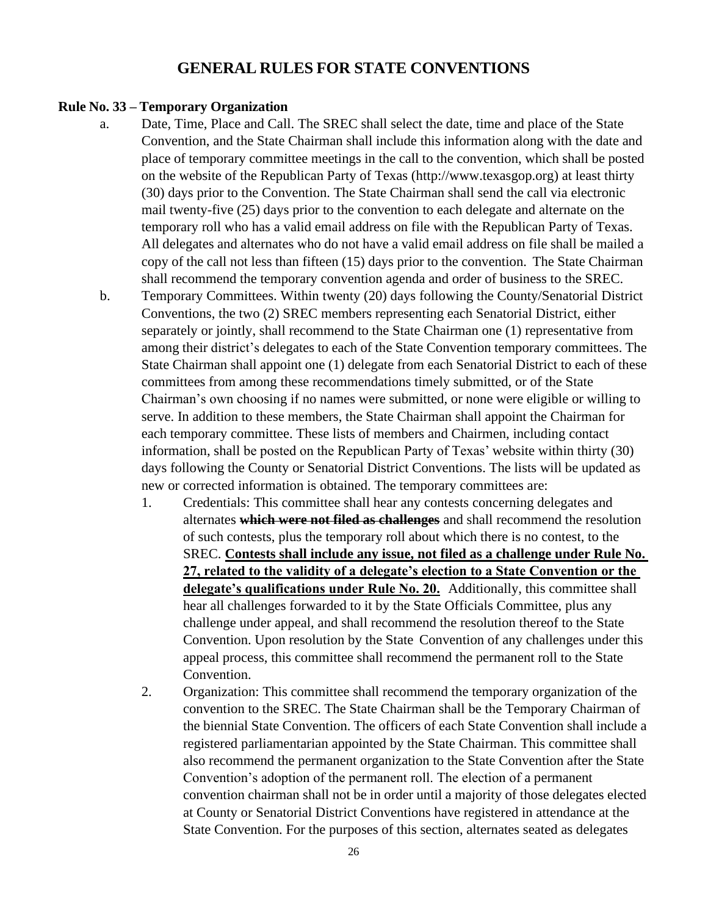# **GENERAL RULES FOR STATE CONVENTIONS**

#### **Rule No. 33 – Temporary Organization**

- a. Date, Time, Place and Call. The SREC shall select the date, time and place of the State Convention, and the State Chairman shall include this information along with the date and place of temporary committee meetings in the call to the convention, which shall be posted on the website of the Republican Party of Texas (http://www.texasgop.org) at least thirty (30) days prior to the Convention. The State Chairman shall send the call via electronic mail twenty-five (25) days prior to the convention to each delegate and alternate on the temporary roll who has a valid email address on file with the Republican Party of Texas. All delegates and alternates who do not have a valid email address on file shall be mailed a copy of the call not less than fifteen (15) days prior to the convention. The State Chairman shall recommend the temporary convention agenda and order of business to the SREC.
- b. Temporary Committees. Within twenty (20) days following the County/Senatorial District Conventions, the two (2) SREC members representing each Senatorial District, either separately or jointly, shall recommend to the State Chairman one (1) representative from among their district's delegates to each of the State Convention temporary committees. The State Chairman shall appoint one (1) delegate from each Senatorial District to each of these committees from among these recommendations timely submitted, or of the State Chairman's own choosing if no names were submitted, or none were eligible or willing to serve. In addition to these members, the State Chairman shall appoint the Chairman for each temporary committee. These lists of members and Chairmen, including contact information, shall be posted on the Republican Party of Texas' website within thirty (30) days following the County or Senatorial District Conventions. The lists will be updated as new or corrected information is obtained. The temporary committees are:
	- 1. Credentials: This committee shall hear any contests concerning delegates and alternates **which were not filed as challenges** and shall recommend the resolution of such contests, plus the temporary roll about which there is no contest, to the SREC. **Contests shall include any issue, not filed as a challenge under Rule No. 27, related to the validity of a delegate's election to a State Convention or the delegate's qualifications under Rule No. 20.** Additionally, this committee shall hear all challenges forwarded to it by the State Officials Committee, plus any challenge under appeal, and shall recommend the resolution thereof to the State Convention. Upon resolution by the State Convention of any challenges under this appeal process, this committee shall recommend the permanent roll to the State Convention.
	- 2. Organization: This committee shall recommend the temporary organization of the convention to the SREC. The State Chairman shall be the Temporary Chairman of the biennial State Convention. The officers of each State Convention shall include a registered parliamentarian appointed by the State Chairman. This committee shall also recommend the permanent organization to the State Convention after the State Convention's adoption of the permanent roll. The election of a permanent convention chairman shall not be in order until a majority of those delegates elected at County or Senatorial District Conventions have registered in attendance at the State Convention. For the purposes of this section, alternates seated as delegates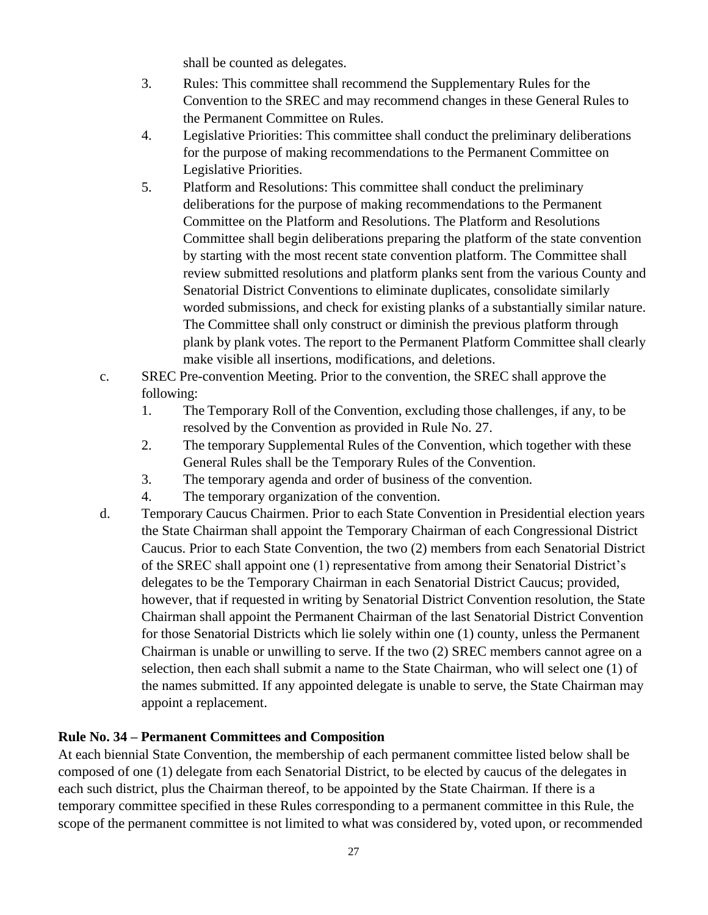shall be counted as delegates.

- 3. Rules: This committee shall recommend the Supplementary Rules for the Convention to the SREC and may recommend changes in these General Rules to the Permanent Committee on Rules.
- 4. Legislative Priorities: This committee shall conduct the preliminary deliberations for the purpose of making recommendations to the Permanent Committee on Legislative Priorities.
- 5. Platform and Resolutions: This committee shall conduct the preliminary deliberations for the purpose of making recommendations to the Permanent Committee on the Platform and Resolutions. The Platform and Resolutions Committee shall begin deliberations preparing the platform of the state convention by starting with the most recent state convention platform. The Committee shall review submitted resolutions and platform planks sent from the various County and Senatorial District Conventions to eliminate duplicates, consolidate similarly worded submissions, and check for existing planks of a substantially similar nature. The Committee shall only construct or diminish the previous platform through plank by plank votes. The report to the Permanent Platform Committee shall clearly make visible all insertions, modifications, and deletions.
- c. SREC Pre-convention Meeting. Prior to the convention, the SREC shall approve the following:
	- 1. The Temporary Roll of the Convention, excluding those challenges, if any, to be resolved by the Convention as provided in Rule No. 27.
	- 2. The temporary Supplemental Rules of the Convention, which together with these General Rules shall be the Temporary Rules of the Convention.
	- 3. The temporary agenda and order of business of the convention.
	- 4. The temporary organization of the convention.
- d. Temporary Caucus Chairmen. Prior to each State Convention in Presidential election years the State Chairman shall appoint the Temporary Chairman of each Congressional District Caucus. Prior to each State Convention, the two (2) members from each Senatorial District of the SREC shall appoint one (1) representative from among their Senatorial District's delegates to be the Temporary Chairman in each Senatorial District Caucus; provided, however, that if requested in writing by Senatorial District Convention resolution, the State Chairman shall appoint the Permanent Chairman of the last Senatorial District Convention for those Senatorial Districts which lie solely within one (1) county, unless the Permanent Chairman is unable or unwilling to serve. If the two (2) SREC members cannot agree on a selection, then each shall submit a name to the State Chairman, who will select one (1) of the names submitted. If any appointed delegate is unable to serve, the State Chairman may appoint a replacement.

# **Rule No. 34 – Permanent Committees and Composition**

At each biennial State Convention, the membership of each permanent committee listed below shall be composed of one (1) delegate from each Senatorial District, to be elected by caucus of the delegates in each such district, plus the Chairman thereof, to be appointed by the State Chairman. If there is a temporary committee specified in these Rules corresponding to a permanent committee in this Rule, the scope of the permanent committee is not limited to what was considered by, voted upon, or recommended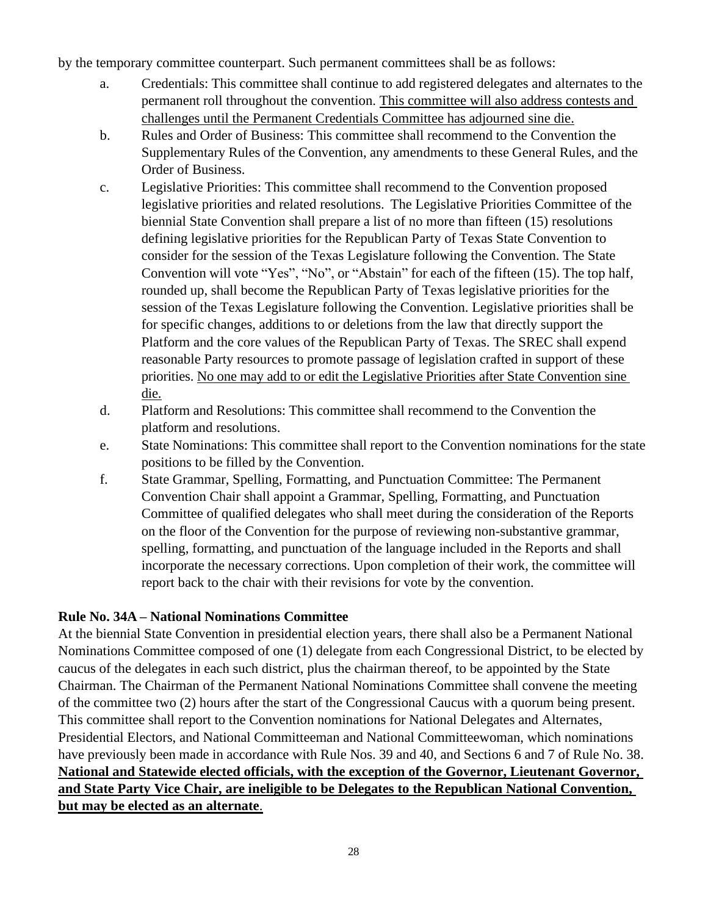by the temporary committee counterpart. Such permanent committees shall be as follows:

- a. Credentials: This committee shall continue to add registered delegates and alternates to the permanent roll throughout the convention. This committee will also address contests and challenges until the Permanent Credentials Committee has adjourned sine die.
- b. Rules and Order of Business: This committee shall recommend to the Convention the Supplementary Rules of the Convention, any amendments to these General Rules, and the Order of Business.
- c. Legislative Priorities: This committee shall recommend to the Convention proposed legislative priorities and related resolutions. The Legislative Priorities Committee of the biennial State Convention shall prepare a list of no more than fifteen (15) resolutions defining legislative priorities for the Republican Party of Texas State Convention to consider for the session of the Texas Legislature following the Convention. The State Convention will vote "Yes", "No", or "Abstain" for each of the fifteen (15). The top half, rounded up, shall become the Republican Party of Texas legislative priorities for the session of the Texas Legislature following the Convention. Legislative priorities shall be for specific changes, additions to or deletions from the law that directly support the Platform and the core values of the Republican Party of Texas. The SREC shall expend reasonable Party resources to promote passage of legislation crafted in support of these priorities. No one may add to or edit the Legislative Priorities after State Convention sine die.
- d. Platform and Resolutions: This committee shall recommend to the Convention the platform and resolutions.
- e. State Nominations: This committee shall report to the Convention nominations for the state positions to be filled by the Convention.
- f. State Grammar, Spelling, Formatting, and Punctuation Committee: The Permanent Convention Chair shall appoint a Grammar, Spelling, Formatting, and Punctuation Committee of qualified delegates who shall meet during the consideration of the Reports on the floor of the Convention for the purpose of reviewing non-substantive grammar, spelling, formatting, and punctuation of the language included in the Reports and shall incorporate the necessary corrections. Upon completion of their work, the committee will report back to the chair with their revisions for vote by the convention.

# **Rule No. 34A – National Nominations Committee**

At the biennial State Convention in presidential election years, there shall also be a Permanent National Nominations Committee composed of one (1) delegate from each Congressional District, to be elected by caucus of the delegates in each such district, plus the chairman thereof, to be appointed by the State Chairman. The Chairman of the Permanent National Nominations Committee shall convene the meeting of the committee two (2) hours after the start of the Congressional Caucus with a quorum being present. This committee shall report to the Convention nominations for National Delegates and Alternates, Presidential Electors, and National Committeeman and National Committeewoman, which nominations have previously been made in accordance with Rule Nos. 39 and 40, and Sections 6 and 7 of Rule No. 38. **National and Statewide elected officials, with the exception of the Governor, Lieutenant Governor, and State Party Vice Chair, are ineligible to be Delegates to the Republican National Convention, but may be elected as an alternate**.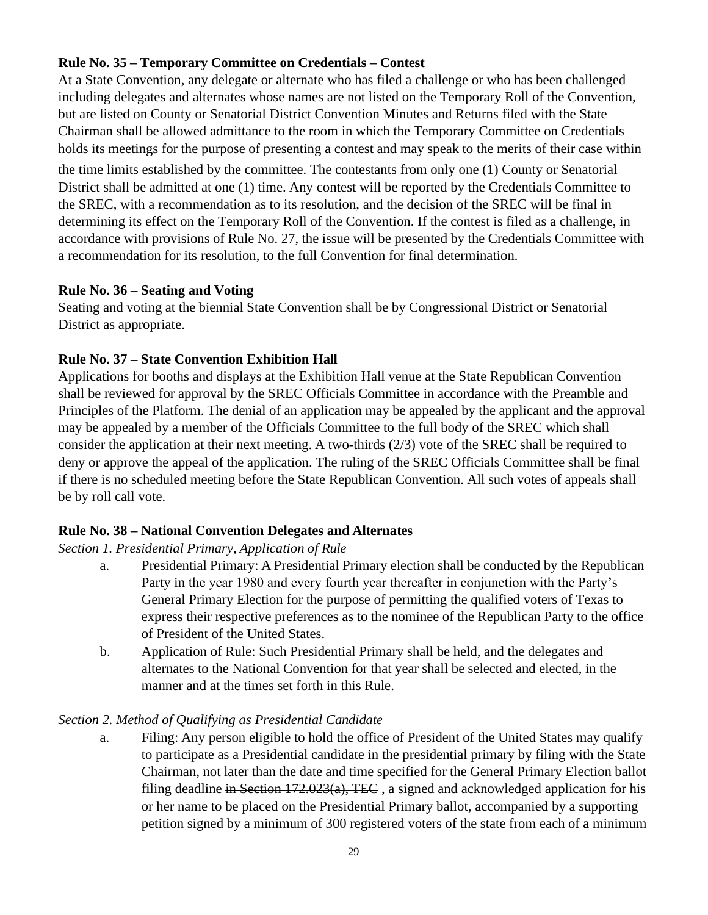# **Rule No. 35 – Temporary Committee on Credentials – Contest**

At a State Convention, any delegate or alternate who has filed a challenge or who has been challenged including delegates and alternates whose names are not listed on the Temporary Roll of the Convention, but are listed on County or Senatorial District Convention Minutes and Returns filed with the State Chairman shall be allowed admittance to the room in which the Temporary Committee on Credentials holds its meetings for the purpose of presenting a contest and may speak to the merits of their case within the time limits established by the committee. The contestants from only one (1) County or Senatorial District shall be admitted at one (1) time. Any contest will be reported by the Credentials Committee to the SREC, with a recommendation as to its resolution, and the decision of the SREC will be final in determining its effect on the Temporary Roll of the Convention. If the contest is filed as a challenge, in accordance with provisions of Rule No. 27, the issue will be presented by the Credentials Committee with a recommendation for its resolution, to the full Convention for final determination.

### **Rule No. 36 – Seating and Voting**

Seating and voting at the biennial State Convention shall be by Congressional District or Senatorial District as appropriate.

# **Rule No. 37 – State Convention Exhibition Hall**

Applications for booths and displays at the Exhibition Hall venue at the State Republican Convention shall be reviewed for approval by the SREC Officials Committee in accordance with the Preamble and Principles of the Platform. The denial of an application may be appealed by the applicant and the approval may be appealed by a member of the Officials Committee to the full body of the SREC which shall consider the application at their next meeting. A two-thirds (2/3) vote of the SREC shall be required to deny or approve the appeal of the application. The ruling of the SREC Officials Committee shall be final if there is no scheduled meeting before the State Republican Convention. All such votes of appeals shall be by roll call vote.

# **Rule No. 38 – National Convention Delegates and Alternates**

*Section 1. Presidential Primary, Application of Rule*

- a. Presidential Primary: A Presidential Primary election shall be conducted by the Republican Party in the year 1980 and every fourth year thereafter in conjunction with the Party's General Primary Election for the purpose of permitting the qualified voters of Texas to express their respective preferences as to the nominee of the Republican Party to the office of President of the United States.
- b. Application of Rule: Such Presidential Primary shall be held, and the delegates and alternates to the National Convention for that year shall be selected and elected, in the manner and at the times set forth in this Rule.

# *Section 2. Method of Qualifying as Presidential Candidate*

a. Filing: Any person eligible to hold the office of President of the United States may qualify to participate as a Presidential candidate in the presidential primary by filing with the State Chairman, not later than the date and time specified for the General Primary Election ballot filing deadline in Section  $172.023(a)$ , TEC, a signed and acknowledged application for his or her name to be placed on the Presidential Primary ballot, accompanied by a supporting petition signed by a minimum of 300 registered voters of the state from each of a minimum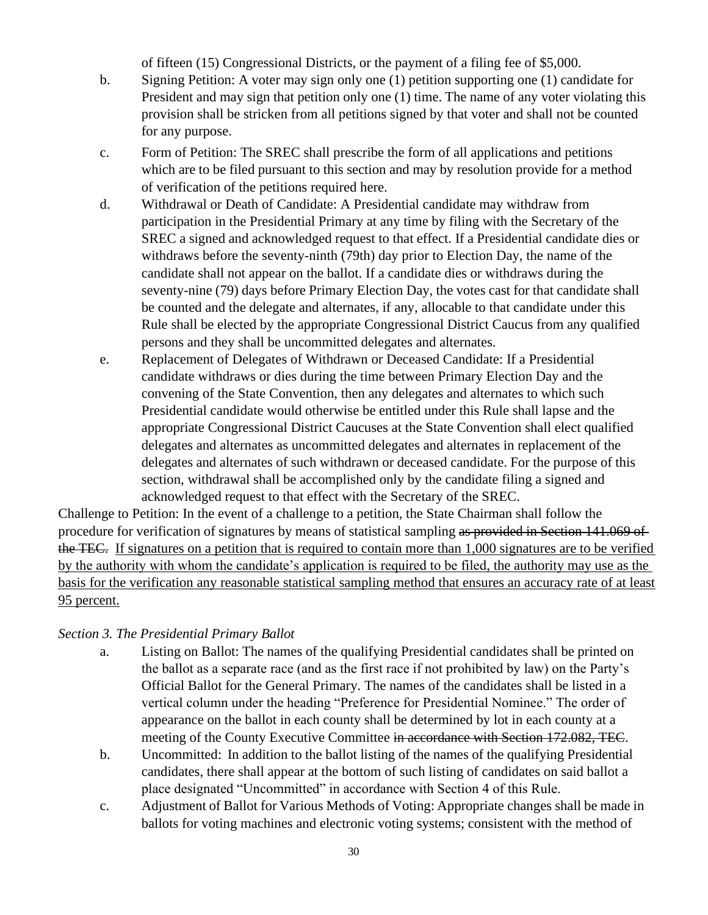of fifteen (15) Congressional Districts, or the payment of a filing fee of \$5,000.

- b. Signing Petition: A voter may sign only one (1) petition supporting one (1) candidate for President and may sign that petition only one (1) time. The name of any voter violating this provision shall be stricken from all petitions signed by that voter and shall not be counted for any purpose.
- c. Form of Petition: The SREC shall prescribe the form of all applications and petitions which are to be filed pursuant to this section and may by resolution provide for a method of verification of the petitions required here.
- d. Withdrawal or Death of Candidate: A Presidential candidate may withdraw from participation in the Presidential Primary at any time by filing with the Secretary of the SREC a signed and acknowledged request to that effect. If a Presidential candidate dies or withdraws before the seventy-ninth (79th) day prior to Election Day, the name of the candidate shall not appear on the ballot. If a candidate dies or withdraws during the seventy-nine (79) days before Primary Election Day, the votes cast for that candidate shall be counted and the delegate and alternates, if any, allocable to that candidate under this Rule shall be elected by the appropriate Congressional District Caucus from any qualified persons and they shall be uncommitted delegates and alternates.
- e. Replacement of Delegates of Withdrawn or Deceased Candidate: If a Presidential candidate withdraws or dies during the time between Primary Election Day and the convening of the State Convention, then any delegates and alternates to which such Presidential candidate would otherwise be entitled under this Rule shall lapse and the appropriate Congressional District Caucuses at the State Convention shall elect qualified delegates and alternates as uncommitted delegates and alternates in replacement of the delegates and alternates of such withdrawn or deceased candidate. For the purpose of this section, withdrawal shall be accomplished only by the candidate filing a signed and acknowledged request to that effect with the Secretary of the SREC.

Challenge to Petition: In the event of a challenge to a petition, the State Chairman shall follow the procedure for verification of signatures by means of statistical sampling as provided in Section 141.069 of the TEC. If signatures on a petition that is required to contain more than 1,000 signatures are to be verified by the authority with whom the candidate's application is required to be filed, the authority may use as the basis for the verification any reasonable statistical sampling method that ensures an accuracy rate of at least 95 percent.

# *Section 3. The Presidential Primary Ballot*

- a. Listing on Ballot: The names of the qualifying Presidential candidates shall be printed on the ballot as a separate race (and as the first race if not prohibited by law) on the Party's Official Ballot for the General Primary. The names of the candidates shall be listed in a vertical column under the heading "Preference for Presidential Nominee." The order of appearance on the ballot in each county shall be determined by lot in each county at a meeting of the County Executive Committee in accordance with Section 172.082, TEC.
- b. Uncommitted: In addition to the ballot listing of the names of the qualifying Presidential candidates, there shall appear at the bottom of such listing of candidates on said ballot a place designated "Uncommitted" in accordance with Section 4 of this Rule.
- c. Adjustment of Ballot for Various Methods of Voting: Appropriate changes shall be made in ballots for voting machines and electronic voting systems; consistent with the method of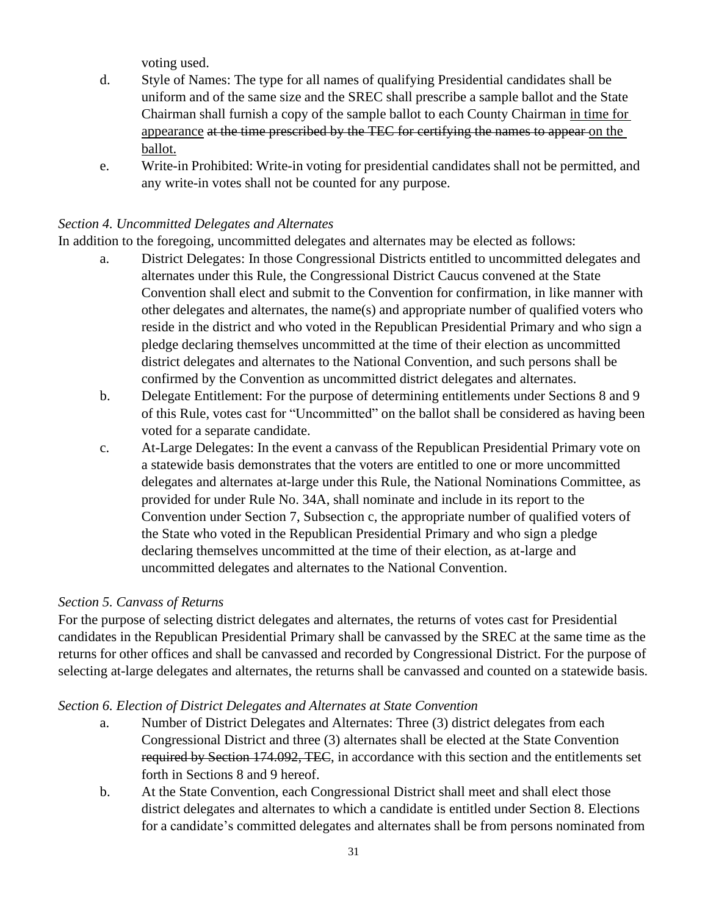voting used.

- d. Style of Names: The type for all names of qualifying Presidential candidates shall be uniform and of the same size and the SREC shall prescribe a sample ballot and the State Chairman shall furnish a copy of the sample ballot to each County Chairman in time for appearance at the time prescribed by the TEC for certifying the names to appear on the ballot.
- e. Write-in Prohibited: Write-in voting for presidential candidates shall not be permitted, and any write-in votes shall not be counted for any purpose.

# *Section 4. Uncommitted Delegates and Alternates*

In addition to the foregoing, uncommitted delegates and alternates may be elected as follows:

- a. District Delegates: In those Congressional Districts entitled to uncommitted delegates and alternates under this Rule, the Congressional District Caucus convened at the State Convention shall elect and submit to the Convention for confirmation, in like manner with other delegates and alternates, the name(s) and appropriate number of qualified voters who reside in the district and who voted in the Republican Presidential Primary and who sign a pledge declaring themselves uncommitted at the time of their election as uncommitted district delegates and alternates to the National Convention, and such persons shall be confirmed by the Convention as uncommitted district delegates and alternates.
- b. Delegate Entitlement: For the purpose of determining entitlements under Sections 8 and 9 of this Rule, votes cast for "Uncommitted" on the ballot shall be considered as having been voted for a separate candidate.
- c. At-Large Delegates: In the event a canvass of the Republican Presidential Primary vote on a statewide basis demonstrates that the voters are entitled to one or more uncommitted delegates and alternates at-large under this Rule, the National Nominations Committee, as provided for under Rule No. 34A, shall nominate and include in its report to the Convention under Section 7, Subsection c, the appropriate number of qualified voters of the State who voted in the Republican Presidential Primary and who sign a pledge declaring themselves uncommitted at the time of their election, as at-large and uncommitted delegates and alternates to the National Convention.

# *Section 5. Canvass of Returns*

For the purpose of selecting district delegates and alternates, the returns of votes cast for Presidential candidates in the Republican Presidential Primary shall be canvassed by the SREC at the same time as the returns for other offices and shall be canvassed and recorded by Congressional District. For the purpose of selecting at-large delegates and alternates, the returns shall be canvassed and counted on a statewide basis.

#### *Section 6. Election of District Delegates and Alternates at State Convention*

- a. Number of District Delegates and Alternates: Three (3) district delegates from each Congressional District and three (3) alternates shall be elected at the State Convention required by Section 174.092, TEC, in accordance with this section and the entitlements set forth in Sections 8 and 9 hereof.
- b. At the State Convention, each Congressional District shall meet and shall elect those district delegates and alternates to which a candidate is entitled under Section 8. Elections for a candidate's committed delegates and alternates shall be from persons nominated from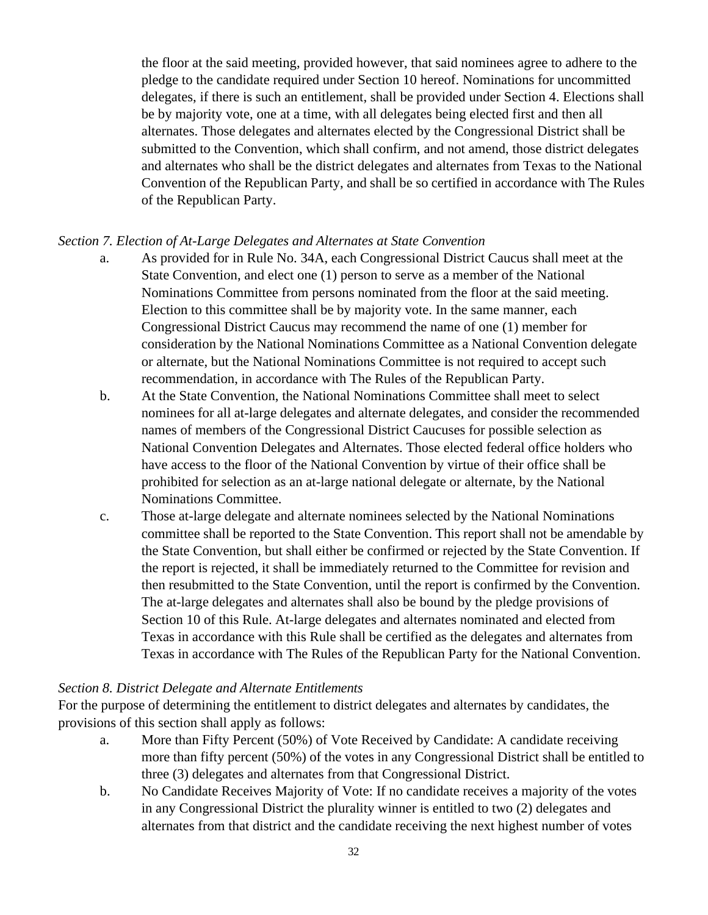the floor at the said meeting, provided however, that said nominees agree to adhere to the pledge to the candidate required under Section 10 hereof. Nominations for uncommitted delegates, if there is such an entitlement, shall be provided under Section 4. Elections shall be by majority vote, one at a time, with all delegates being elected first and then all alternates. Those delegates and alternates elected by the Congressional District shall be submitted to the Convention, which shall confirm, and not amend, those district delegates and alternates who shall be the district delegates and alternates from Texas to the National Convention of the Republican Party, and shall be so certified in accordance with The Rules of the Republican Party.

### *Section 7. Election of At-Large Delegates and Alternates at State Convention*

- a. As provided for in Rule No. 34A, each Congressional District Caucus shall meet at the State Convention, and elect one (1) person to serve as a member of the National Nominations Committee from persons nominated from the floor at the said meeting. Election to this committee shall be by majority vote. In the same manner, each Congressional District Caucus may recommend the name of one (1) member for consideration by the National Nominations Committee as a National Convention delegate or alternate, but the National Nominations Committee is not required to accept such recommendation, in accordance with The Rules of the Republican Party.
- b. At the State Convention, the National Nominations Committee shall meet to select nominees for all at-large delegates and alternate delegates, and consider the recommended names of members of the Congressional District Caucuses for possible selection as National Convention Delegates and Alternates. Those elected federal office holders who have access to the floor of the National Convention by virtue of their office shall be prohibited for selection as an at-large national delegate or alternate, by the National Nominations Committee.
- c. Those at-large delegate and alternate nominees selected by the National Nominations committee shall be reported to the State Convention. This report shall not be amendable by the State Convention, but shall either be confirmed or rejected by the State Convention. If the report is rejected, it shall be immediately returned to the Committee for revision and then resubmitted to the State Convention, until the report is confirmed by the Convention. The at-large delegates and alternates shall also be bound by the pledge provisions of Section 10 of this Rule. At-large delegates and alternates nominated and elected from Texas in accordance with this Rule shall be certified as the delegates and alternates from Texas in accordance with The Rules of the Republican Party for the National Convention.

#### *Section 8. District Delegate and Alternate Entitlements*

For the purpose of determining the entitlement to district delegates and alternates by candidates, the provisions of this section shall apply as follows:

- a. More than Fifty Percent (50%) of Vote Received by Candidate: A candidate receiving more than fifty percent (50%) of the votes in any Congressional District shall be entitled to three (3) delegates and alternates from that Congressional District.
- b. No Candidate Receives Majority of Vote: If no candidate receives a majority of the votes in any Congressional District the plurality winner is entitled to two (2) delegates and alternates from that district and the candidate receiving the next highest number of votes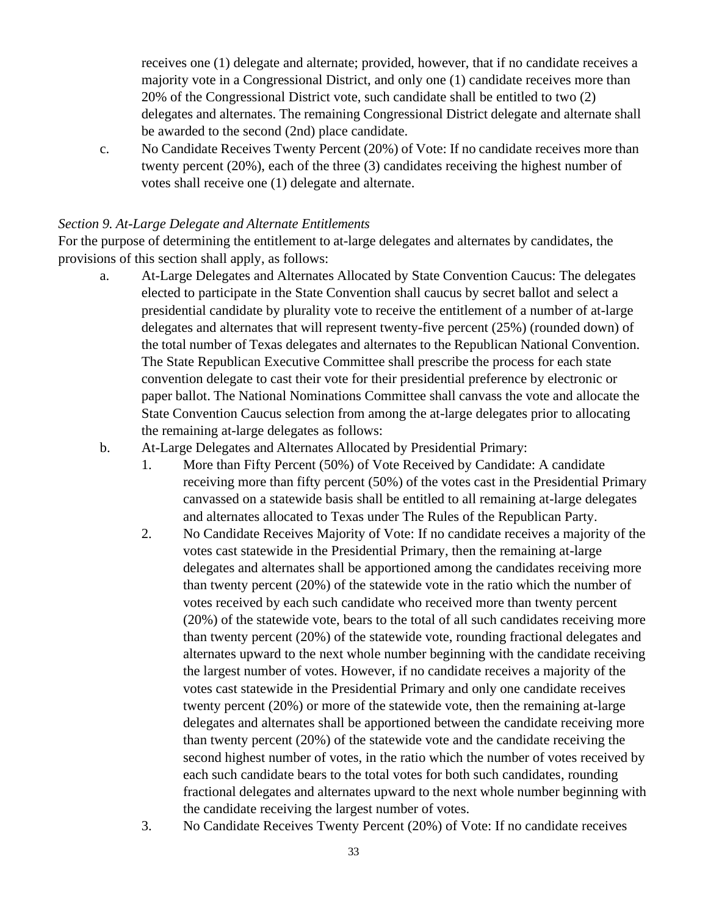receives one (1) delegate and alternate; provided, however, that if no candidate receives a majority vote in a Congressional District, and only one (1) candidate receives more than 20% of the Congressional District vote, such candidate shall be entitled to two (2) delegates and alternates. The remaining Congressional District delegate and alternate shall be awarded to the second (2nd) place candidate.

c. No Candidate Receives Twenty Percent (20%) of Vote: If no candidate receives more than twenty percent (20%), each of the three (3) candidates receiving the highest number of votes shall receive one (1) delegate and alternate.

### *Section 9. At-Large Delegate and Alternate Entitlements*

For the purpose of determining the entitlement to at-large delegates and alternates by candidates, the provisions of this section shall apply, as follows:

- a. At-Large Delegates and Alternates Allocated by State Convention Caucus: The delegates elected to participate in the State Convention shall caucus by secret ballot and select a presidential candidate by plurality vote to receive the entitlement of a number of at-large delegates and alternates that will represent twenty-five percent (25%) (rounded down) of the total number of Texas delegates and alternates to the Republican National Convention. The State Republican Executive Committee shall prescribe the process for each state convention delegate to cast their vote for their presidential preference by electronic or paper ballot. The National Nominations Committee shall canvass the vote and allocate the State Convention Caucus selection from among the at-large delegates prior to allocating the remaining at-large delegates as follows:
- b. At-Large Delegates and Alternates Allocated by Presidential Primary:
	- 1. More than Fifty Percent (50%) of Vote Received by Candidate: A candidate receiving more than fifty percent (50%) of the votes cast in the Presidential Primary canvassed on a statewide basis shall be entitled to all remaining at-large delegates and alternates allocated to Texas under The Rules of the Republican Party.
	- 2. No Candidate Receives Majority of Vote: If no candidate receives a majority of the votes cast statewide in the Presidential Primary, then the remaining at-large delegates and alternates shall be apportioned among the candidates receiving more than twenty percent (20%) of the statewide vote in the ratio which the number of votes received by each such candidate who received more than twenty percent (20%) of the statewide vote, bears to the total of all such candidates receiving more than twenty percent (20%) of the statewide vote, rounding fractional delegates and alternates upward to the next whole number beginning with the candidate receiving the largest number of votes. However, if no candidate receives a majority of the votes cast statewide in the Presidential Primary and only one candidate receives twenty percent (20%) or more of the statewide vote, then the remaining at-large delegates and alternates shall be apportioned between the candidate receiving more than twenty percent (20%) of the statewide vote and the candidate receiving the second highest number of votes, in the ratio which the number of votes received by each such candidate bears to the total votes for both such candidates, rounding fractional delegates and alternates upward to the next whole number beginning with the candidate receiving the largest number of votes.
	- 3. No Candidate Receives Twenty Percent (20%) of Vote: If no candidate receives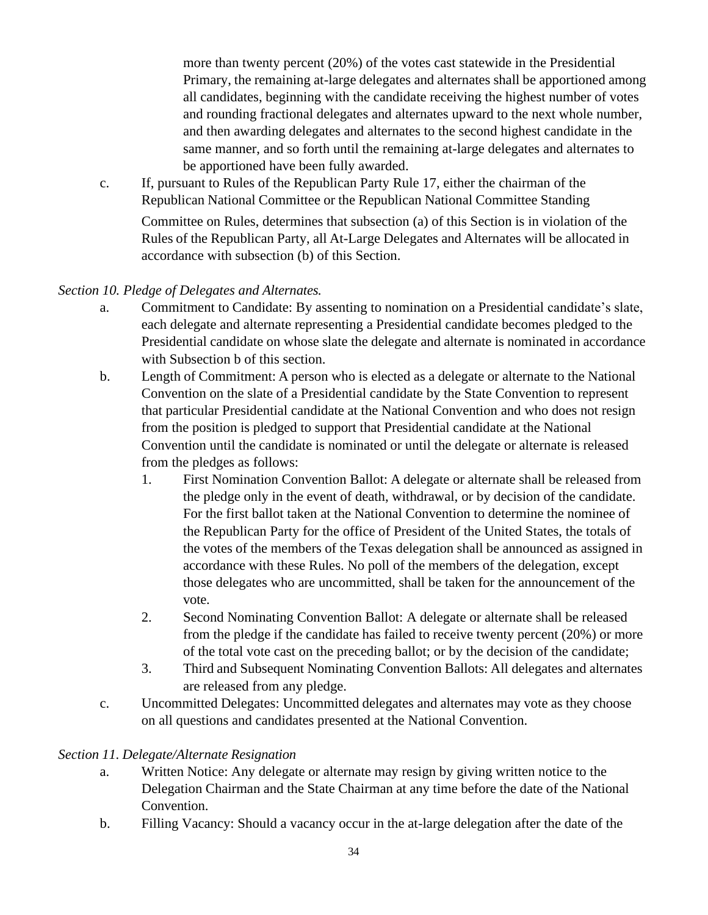more than twenty percent (20%) of the votes cast statewide in the Presidential Primary, the remaining at-large delegates and alternates shall be apportioned among all candidates, beginning with the candidate receiving the highest number of votes and rounding fractional delegates and alternates upward to the next whole number, and then awarding delegates and alternates to the second highest candidate in the same manner, and so forth until the remaining at-large delegates and alternates to be apportioned have been fully awarded.

c. If, pursuant to Rules of the Republican Party Rule 17, either the chairman of the Republican National Committee or the Republican National Committee Standing

Committee on Rules, determines that subsection (a) of this Section is in violation of the Rules of the Republican Party, all At-Large Delegates and Alternates will be allocated in accordance with subsection (b) of this Section.

# *Section 10. Pledge of Delegates and Alternates.*

- a. Commitment to Candidate: By assenting to nomination on a Presidential candidate's slate, each delegate and alternate representing a Presidential candidate becomes pledged to the Presidential candidate on whose slate the delegate and alternate is nominated in accordance with Subsection b of this section.
- b. Length of Commitment: A person who is elected as a delegate or alternate to the National Convention on the slate of a Presidential candidate by the State Convention to represent that particular Presidential candidate at the National Convention and who does not resign from the position is pledged to support that Presidential candidate at the National Convention until the candidate is nominated or until the delegate or alternate is released from the pledges as follows:
	- 1. First Nomination Convention Ballot: A delegate or alternate shall be released from the pledge only in the event of death, withdrawal, or by decision of the candidate. For the first ballot taken at the National Convention to determine the nominee of the Republican Party for the office of President of the United States, the totals of the votes of the members of the Texas delegation shall be announced as assigned in accordance with these Rules. No poll of the members of the delegation, except those delegates who are uncommitted, shall be taken for the announcement of the vote.
	- 2. Second Nominating Convention Ballot: A delegate or alternate shall be released from the pledge if the candidate has failed to receive twenty percent (20%) or more of the total vote cast on the preceding ballot; or by the decision of the candidate;
	- 3. Third and Subsequent Nominating Convention Ballots: All delegates and alternates are released from any pledge.
- c. Uncommitted Delegates: Uncommitted delegates and alternates may vote as they choose on all questions and candidates presented at the National Convention.

# *Section 11. Delegate/Alternate Resignation*

- a. Written Notice: Any delegate or alternate may resign by giving written notice to the Delegation Chairman and the State Chairman at any time before the date of the National Convention.
- b. Filling Vacancy: Should a vacancy occur in the at-large delegation after the date of the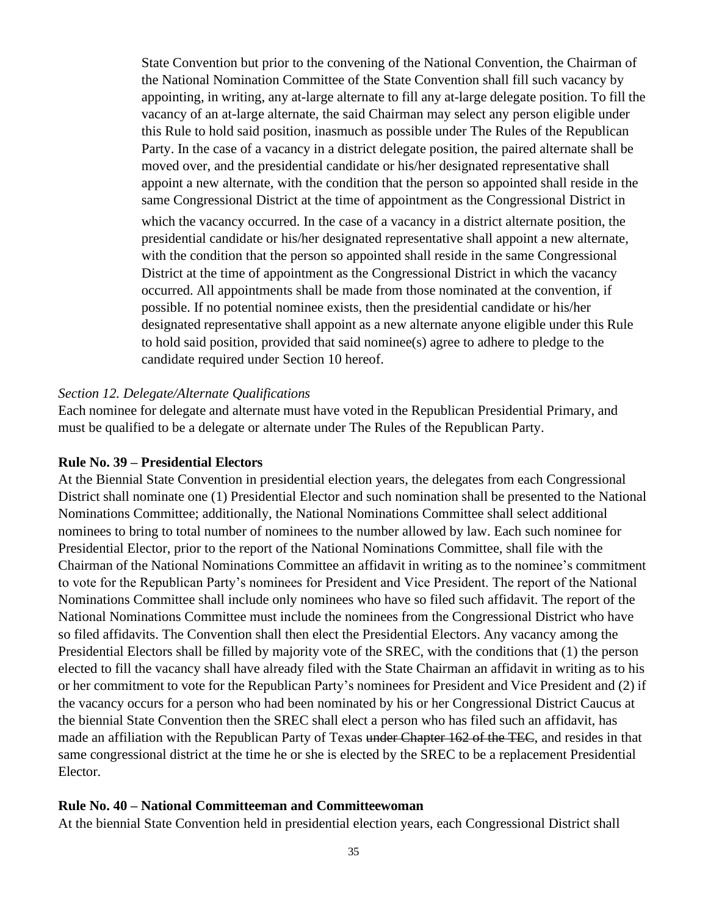State Convention but prior to the convening of the National Convention, the Chairman of the National Nomination Committee of the State Convention shall fill such vacancy by appointing, in writing, any at-large alternate to fill any at-large delegate position. To fill the vacancy of an at-large alternate, the said Chairman may select any person eligible under this Rule to hold said position, inasmuch as possible under The Rules of the Republican Party. In the case of a vacancy in a district delegate position, the paired alternate shall be moved over, and the presidential candidate or his/her designated representative shall appoint a new alternate, with the condition that the person so appointed shall reside in the same Congressional District at the time of appointment as the Congressional District in

which the vacancy occurred. In the case of a vacancy in a district alternate position, the presidential candidate or his/her designated representative shall appoint a new alternate, with the condition that the person so appointed shall reside in the same Congressional District at the time of appointment as the Congressional District in which the vacancy occurred. All appointments shall be made from those nominated at the convention, if possible. If no potential nominee exists, then the presidential candidate or his/her designated representative shall appoint as a new alternate anyone eligible under this Rule to hold said position, provided that said nominee(s) agree to adhere to pledge to the candidate required under Section 10 hereof.

#### *Section 12. Delegate/Alternate Qualifications*

Each nominee for delegate and alternate must have voted in the Republican Presidential Primary, and must be qualified to be a delegate or alternate under The Rules of the Republican Party.

#### **Rule No. 39 – Presidential Electors**

At the Biennial State Convention in presidential election years, the delegates from each Congressional District shall nominate one (1) Presidential Elector and such nomination shall be presented to the National Nominations Committee; additionally, the National Nominations Committee shall select additional nominees to bring to total number of nominees to the number allowed by law. Each such nominee for Presidential Elector, prior to the report of the National Nominations Committee, shall file with the Chairman of the National Nominations Committee an affidavit in writing as to the nominee's commitment to vote for the Republican Party's nominees for President and Vice President. The report of the National Nominations Committee shall include only nominees who have so filed such affidavit. The report of the National Nominations Committee must include the nominees from the Congressional District who have so filed affidavits. The Convention shall then elect the Presidential Electors. Any vacancy among the Presidential Electors shall be filled by majority vote of the SREC, with the conditions that (1) the person elected to fill the vacancy shall have already filed with the State Chairman an affidavit in writing as to his or her commitment to vote for the Republican Party's nominees for President and Vice President and (2) if the vacancy occurs for a person who had been nominated by his or her Congressional District Caucus at the biennial State Convention then the SREC shall elect a person who has filed such an affidavit, has made an affiliation with the Republican Party of Texas under Chapter 162 of the TEC, and resides in that same congressional district at the time he or she is elected by the SREC to be a replacement Presidential Elector.

#### **Rule No. 40 – National Committeeman and Committeewoman**

At the biennial State Convention held in presidential election years, each Congressional District shall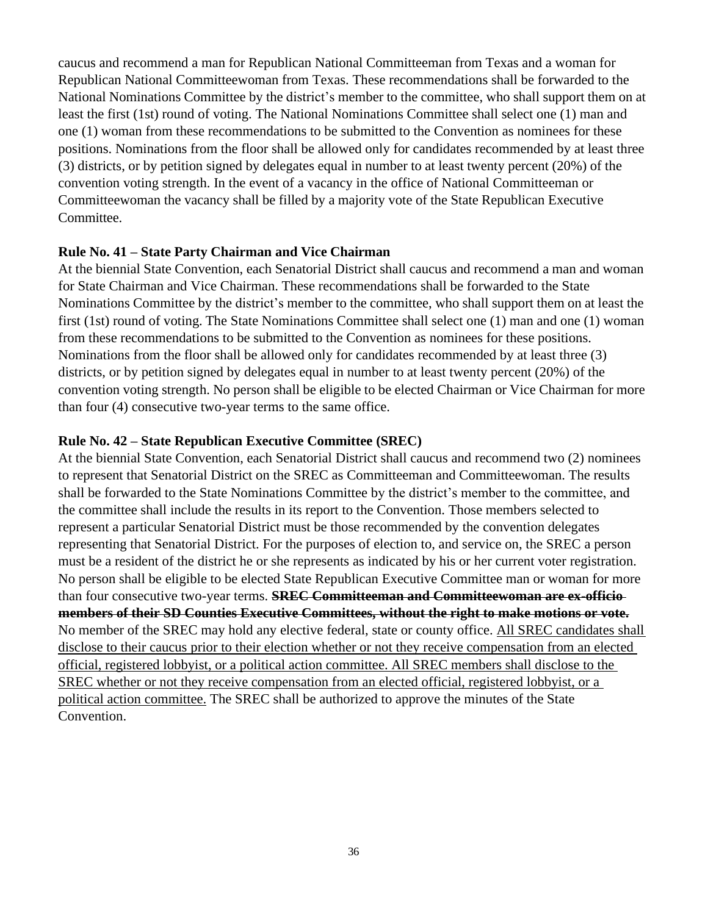caucus and recommend a man for Republican National Committeeman from Texas and a woman for Republican National Committeewoman from Texas. These recommendations shall be forwarded to the National Nominations Committee by the district's member to the committee, who shall support them on at least the first (1st) round of voting. The National Nominations Committee shall select one (1) man and one (1) woman from these recommendations to be submitted to the Convention as nominees for these positions. Nominations from the floor shall be allowed only for candidates recommended by at least three (3) districts, or by petition signed by delegates equal in number to at least twenty percent (20%) of the convention voting strength. In the event of a vacancy in the office of National Committeeman or Committeewoman the vacancy shall be filled by a majority vote of the State Republican Executive Committee.

#### **Rule No. 41 – State Party Chairman and Vice Chairman**

At the biennial State Convention, each Senatorial District shall caucus and recommend a man and woman for State Chairman and Vice Chairman. These recommendations shall be forwarded to the State Nominations Committee by the district's member to the committee, who shall support them on at least the first (1st) round of voting. The State Nominations Committee shall select one (1) man and one (1) woman from these recommendations to be submitted to the Convention as nominees for these positions. Nominations from the floor shall be allowed only for candidates recommended by at least three (3) districts, or by petition signed by delegates equal in number to at least twenty percent (20%) of the convention voting strength. No person shall be eligible to be elected Chairman or Vice Chairman for more than four (4) consecutive two-year terms to the same office.

# **Rule No. 42 – State Republican Executive Committee (SREC)**

At the biennial State Convention, each Senatorial District shall caucus and recommend two (2) nominees to represent that Senatorial District on the SREC as Committeeman and Committeewoman. The results shall be forwarded to the State Nominations Committee by the district's member to the committee, and the committee shall include the results in its report to the Convention. Those members selected to represent a particular Senatorial District must be those recommended by the convention delegates representing that Senatorial District. For the purposes of election to, and service on, the SREC a person must be a resident of the district he or she represents as indicated by his or her current voter registration. No person shall be eligible to be elected State Republican Executive Committee man or woman for more than four consecutive two-year terms. **SREC Committeeman and Committeewoman are ex-officio members of their SD Counties Executive Committees, without the right to make motions or vote.** No member of the SREC may hold any elective federal, state or county office. All SREC candidates shall disclose to their caucus prior to their election whether or not they receive compensation from an elected official, registered lobbyist, or a political action committee. All SREC members shall disclose to the SREC whether or not they receive compensation from an elected official, registered lobbyist, or a political action committee. The SREC shall be authorized to approve the minutes of the State Convention.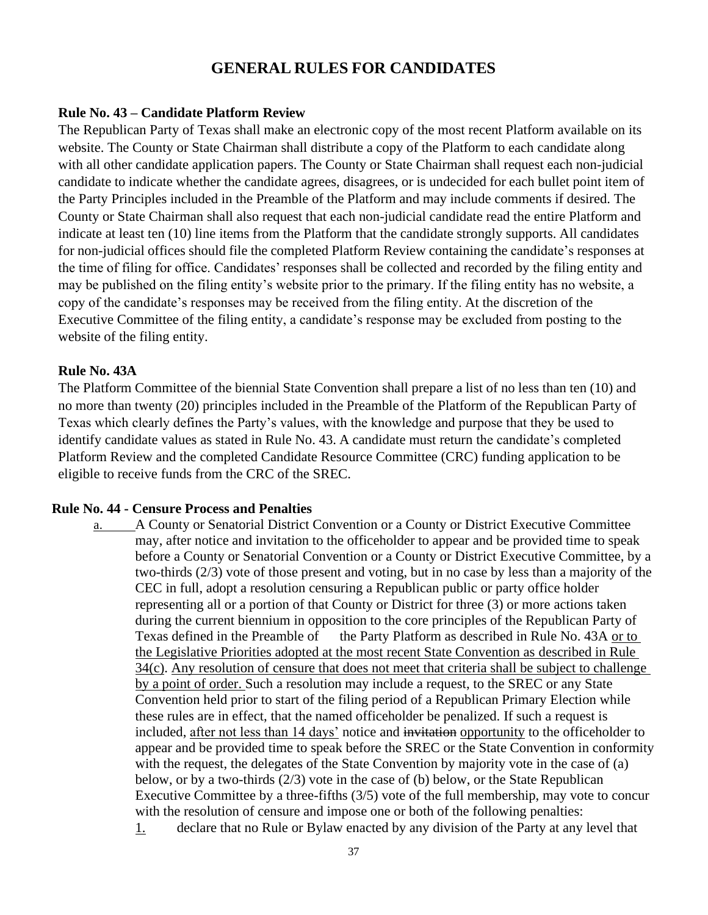# **GENERAL RULES FOR CANDIDATES**

#### **Rule No. 43 – Candidate Platform Review**

The Republican Party of Texas shall make an electronic copy of the most recent Platform available on its website. The County or State Chairman shall distribute a copy of the Platform to each candidate along with all other candidate application papers. The County or State Chairman shall request each non-judicial candidate to indicate whether the candidate agrees, disagrees, or is undecided for each bullet point item of the Party Principles included in the Preamble of the Platform and may include comments if desired. The County or State Chairman shall also request that each non-judicial candidate read the entire Platform and indicate at least ten (10) line items from the Platform that the candidate strongly supports. All candidates for non-judicial offices should file the completed Platform Review containing the candidate's responses at the time of filing for office. Candidates' responses shall be collected and recorded by the filing entity and may be published on the filing entity's website prior to the primary. If the filing entity has no website, a copy of the candidate's responses may be received from the filing entity. At the discretion of the Executive Committee of the filing entity, a candidate's response may be excluded from posting to the website of the filing entity.

#### **Rule No. 43A**

The Platform Committee of the biennial State Convention shall prepare a list of no less than ten (10) and no more than twenty (20) principles included in the Preamble of the Platform of the Republican Party of Texas which clearly defines the Party's values, with the knowledge and purpose that they be used to identify candidate values as stated in Rule No. 43. A candidate must return the candidate's completed Platform Review and the completed Candidate Resource Committee (CRC) funding application to be eligible to receive funds from the CRC of the SREC.

#### **Rule No. 44 - Censure Process and Penalties**

a. A County or Senatorial District Convention or a County or District Executive Committee may, after notice and invitation to the officeholder to appear and be provided time to speak before a County or Senatorial Convention or a County or District Executive Committee, by a two-thirds (2/3) vote of those present and voting, but in no case by less than a majority of the CEC in full, adopt a resolution censuring a Republican public or party office holder representing all or a portion of that County or District for three (3) or more actions taken during the current biennium in opposition to the core principles of the Republican Party of Texas defined in the Preamble of the Party Platform as described in Rule No. 43A or to the Legislative Priorities adopted at the most recent State Convention as described in Rule 34(c). Any resolution of censure that does not meet that criteria shall be subject to challenge by a point of order. Such a resolution may include a request, to the SREC or any State Convention held prior to start of the filing period of a Republican Primary Election while these rules are in effect, that the named officeholder be penalized. If such a request is included, after not less than 14 days' notice and invitation opportunity to the officeholder to appear and be provided time to speak before the SREC or the State Convention in conformity with the request, the delegates of the State Convention by majority vote in the case of (a) below, or by a two-thirds (2/3) vote in the case of (b) below, or the State Republican Executive Committee by a three-fifths (3/5) vote of the full membership, may vote to concur with the resolution of censure and impose one or both of the following penalties: 1. declare that no Rule or Bylaw enacted by any division of the Party at any level that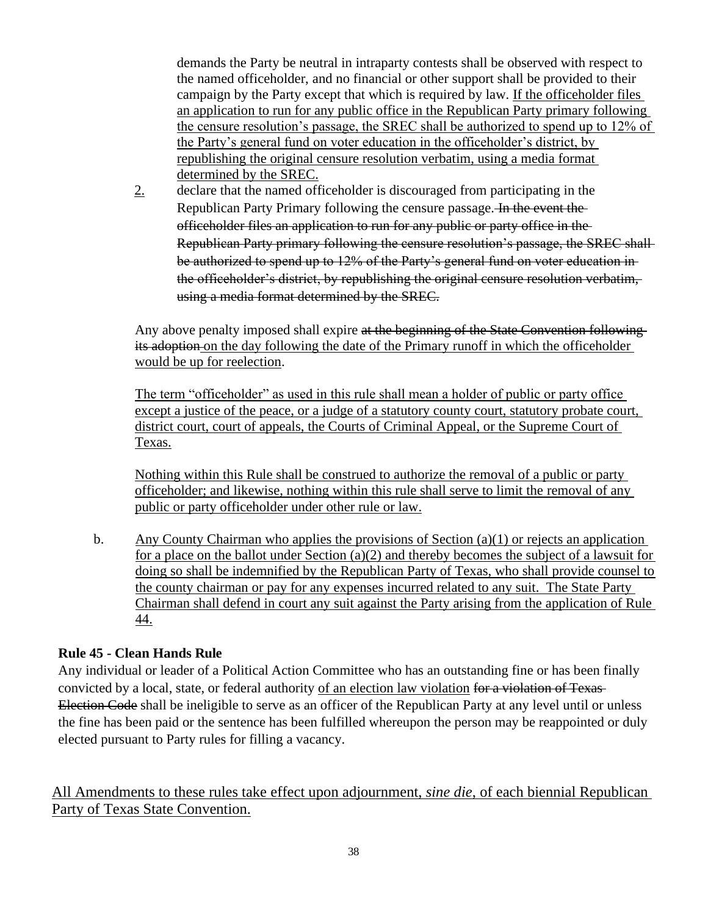demands the Party be neutral in intraparty contests shall be observed with respect to the named officeholder, and no financial or other support shall be provided to their campaign by the Party except that which is required by law. If the officeholder files an application to run for any public office in the Republican Party primary following the censure resolution's passage, the SREC shall be authorized to spend up to 12% of the Party's general fund on voter education in the officeholder's district, by republishing the original censure resolution verbatim, using a media format determined by the SREC.

2. declare that the named officeholder is discouraged from participating in the Republican Party Primary following the censure passage. In the event the officeholder files an application to run for any public or party office in the Republican Party primary following the censure resolution's passage, the SREC shall be authorized to spend up to 12% of the Party's general fund on voter education inthe officeholder's district, by republishing the original censure resolution verbatim, using a media format determined by the SREC.

Any above penalty imposed shall expire at the beginning of the State Convention following its adoption on the day following the date of the Primary runoff in which the officeholder would be up for reelection.

The term "officeholder" as used in this rule shall mean a holder of public or party office except a justice of the peace, or a judge of a statutory county court, statutory probate court, district court, court of appeals, the Courts of Criminal Appeal, or the Supreme Court of Texas.

Nothing within this Rule shall be construed to authorize the removal of a public or party officeholder; and likewise, nothing within this rule shall serve to limit the removal of any public or party officeholder under other rule or law.

b. Any County Chairman who applies the provisions of Section  $(a)(1)$  or rejects an application for a place on the ballot under Section (a)(2) and thereby becomes the subject of a lawsuit for doing so shall be indemnified by the Republican Party of Texas, who shall provide counsel to the county chairman or pay for any expenses incurred related to any suit. The State Party Chairman shall defend in court any suit against the Party arising from the application of Rule 44.

# **Rule 45 - Clean Hands Rule**

Any individual or leader of a Political Action Committee who has an outstanding fine or has been finally convicted by a local, state, or federal authority of an election law violation for a violation of Texas Election Code shall be ineligible to serve as an officer of the Republican Party at any level until or unless the fine has been paid or the sentence has been fulfilled whereupon the person may be reappointed or duly elected pursuant to Party rules for filling a vacancy.

All Amendments to these rules take effect upon adjournment, *sine die*, of each biennial Republican Party of Texas State Convention.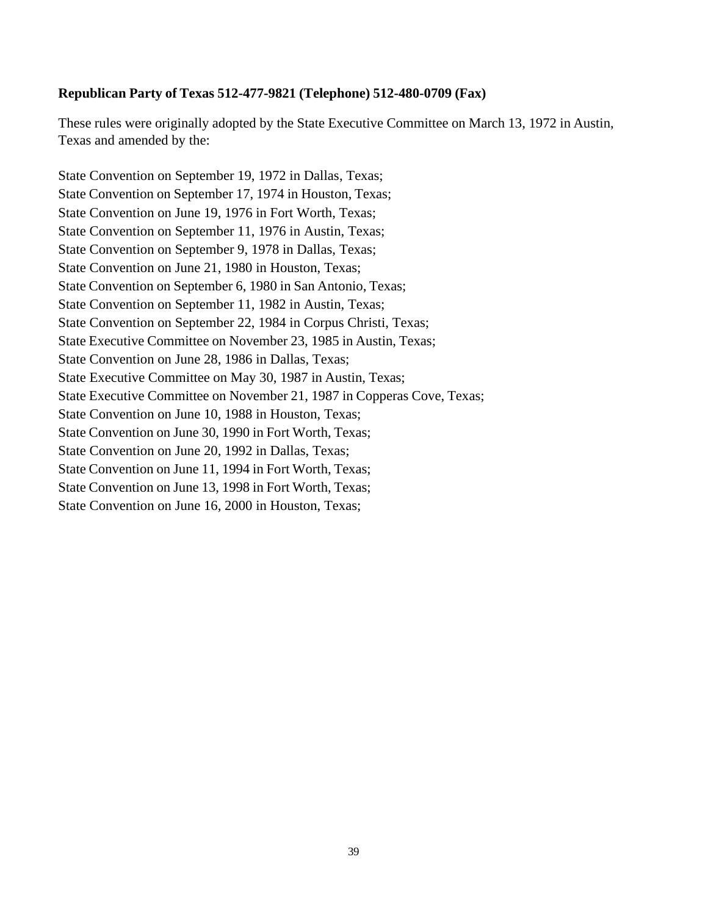#### **Republican Party of Texas 512-477-9821 (Telephone) 512-480-0709 (Fax)**

These rules were originally adopted by the State Executive Committee on March 13, 1972 in Austin, Texas and amended by the:

State Convention on September 19, 1972 in Dallas, Texas; State Convention on September 17, 1974 in Houston, Texas; State Convention on June 19, 1976 in Fort Worth, Texas; State Convention on September 11, 1976 in Austin, Texas; State Convention on September 9, 1978 in Dallas, Texas; State Convention on June 21, 1980 in Houston, Texas; State Convention on September 6, 1980 in San Antonio, Texas; State Convention on September 11, 1982 in Austin, Texas; State Convention on September 22, 1984 in Corpus Christi, Texas; State Executive Committee on November 23, 1985 in Austin, Texas; State Convention on June 28, 1986 in Dallas, Texas; State Executive Committee on May 30, 1987 in Austin, Texas; State Executive Committee on November 21, 1987 in Copperas Cove, Texas; State Convention on June 10, 1988 in Houston, Texas; State Convention on June 30, 1990 in Fort Worth, Texas; State Convention on June 20, 1992 in Dallas, Texas; State Convention on June 11, 1994 in Fort Worth, Texas; State Convention on June 13, 1998 in Fort Worth, Texas; State Convention on June 16, 2000 in Houston, Texas;